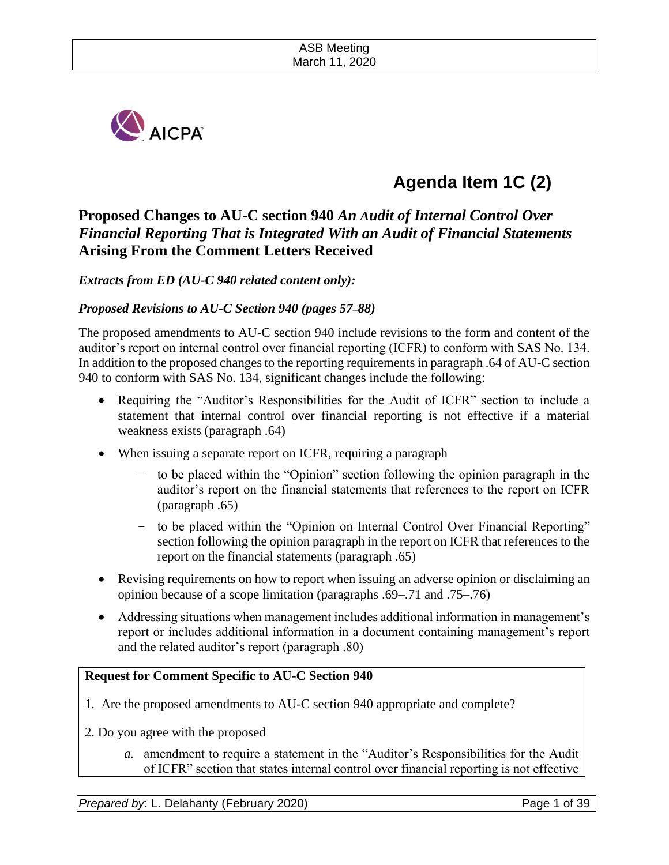

# **Agenda Item 1C (2)**

# **Proposed Changes to AU-C section 940** *An Audit of Internal Control Over Financial Reporting That is Integrated With an Audit of Financial Statements* **Arising From the Comment Letters Received**

*Extracts from ED (AU-C 940 related content only):* 

### *Proposed Revisions to AU-C Section 940 (pages 57–88)*

The proposed amendments to AU-C section 940 include revisions to the form and content of the auditor's report on internal control over financial reporting (ICFR) to conform with SAS No. 134. In addition to the proposed changes to the reporting requirements in paragraph .64 of AU-C section 940 to conform with SAS No. 134, significant changes include the following:

- Requiring the "Auditor's Responsibilities for the Audit of ICFR" section to include a statement that internal control over financial reporting is not effective if a material weakness exists (paragraph .64)
- When issuing a separate report on ICFR, requiring a paragraph
	- to be placed within the "Opinion" section following the opinion paragraph in the auditor's report on the financial statements that references to the report on ICFR (paragraph .65)
	- to be placed within the "Opinion on Internal Control Over Financial Reporting" section following the opinion paragraph in the report on ICFR that references to the report on the financial statements (paragraph .65)
- Revising requirements on how to report when issuing an adverse opinion or disclaiming an opinion because of a scope limitation (paragraphs .69–.71 and .75–.76)
- Addressing situations when management includes additional information in management's report or includes additional information in a document containing management's report and the related auditor's report (paragraph .80)

### **Request for Comment Specific to AU-C Section 940**

- 1. Are the proposed amendments to AU-C section 940 appropriate and complete?
- 2. Do you agree with the proposed
	- *a.* amendment to require a statement in the "Auditor's Responsibilities for the Audit of ICFR" section that states internal control over financial reporting is not effective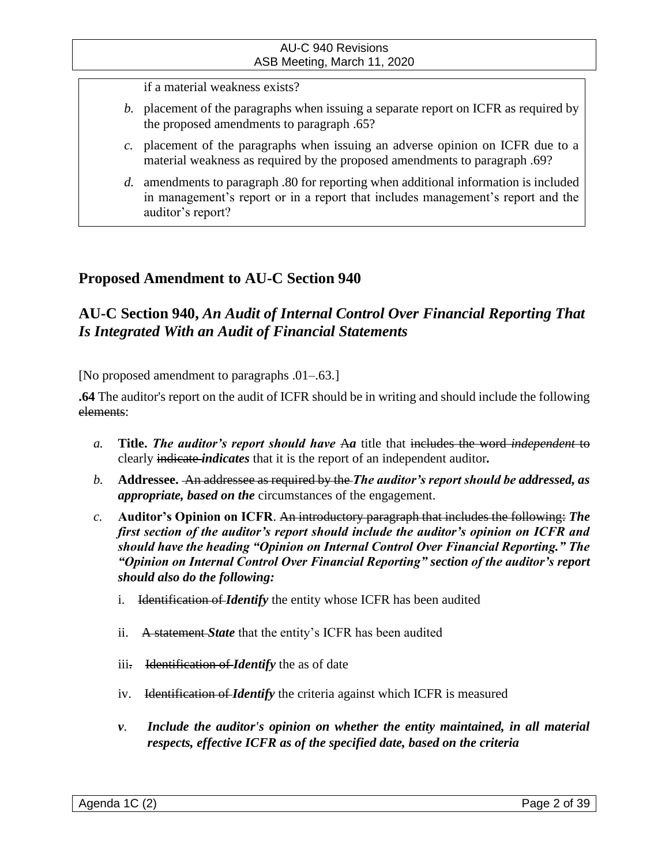if a material weakness exists?

- *b.* placement of the paragraphs when issuing a separate report on ICFR as required by the proposed amendments to paragraph .65?
- *c.* placement of the paragraphs when issuing an adverse opinion on ICFR due to a material weakness as required by the proposed amendments to paragraph .69?
- *d.* amendments to paragraph .80 for reporting when additional information is included in management's report or in a report that includes management's report and the auditor's report?

# **Proposed Amendment to AU-C Section 940**

# **AU-C Section 940,** *An Audit of Internal Control Over Financial Reporting That Is Integrated With an Audit of Financial Statements*

[No proposed amendment to paragraphs .01–.63.]

**.64** The auditor's report on the audit of ICFR should be in writing and should include the following elements:

- *a.* **Title.** *The auditor's report should have* A*a* title that includes the word *independent* to clearly indicate *indicates* that it is the report of an independent auditor*.*
- *b.* **Addressee.** An addressee as required by the *The auditor's report should be addressed, as appropriate, based on the* circumstances of the engagement.
- *c.* **Auditor's Opinion on ICFR**. An introductory paragraph that includes the following: *The first section of the auditor's report should include the auditor's opinion on ICFR and should have the heading "Opinion on Internal Control Over Financial Reporting." The "Opinion on Internal Control Over Financial Reporting" section of the auditor's report should also do the following:*
	- i. Identification of *Identify* the entity whose ICFR has been audited
	- ii. A statement *State* that the entity's ICFR has been audited
	- iii. Identification of *Identify* the as of date
	- iv. Identification of *Identify* the criteria against which ICFR is measured
	- *v*. *Include the auditor's opinion on whether the entity maintained, in all material respects, effective ICFR as of the specified date, based on the criteria*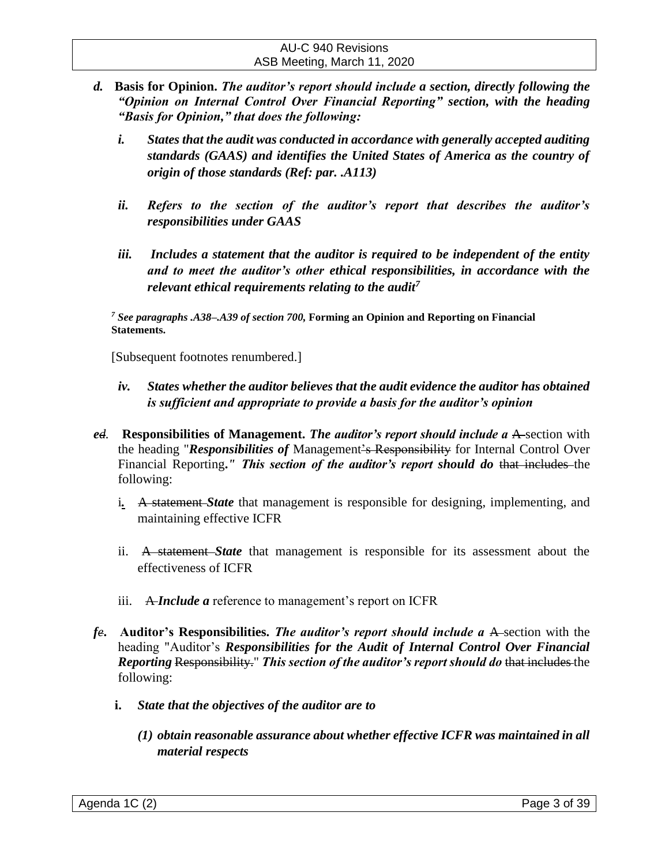- *d.* **Basis for Opinion.** *The auditor's report should include a section, directly following the "Opinion on Internal Control Over Financial Reporting" section, with the heading "Basis for Opinion," that does the following:* 
	- *i. States that the audit was conducted in accordance with generally accepted auditing standards (GAAS) and identifies the United States of America as the country of origin of those standards (Ref: par. .A113)*
	- *ii. Refers to the section of the auditor's report that describes the auditor's responsibilities under GAAS*
	- *iii. Includes a statement that the auditor is required to be independent of the entity and to meet the auditor's other ethical responsibilities, in accordance with the relevant ethical requirements relating to the audit<sup>7</sup>*

*<sup>7</sup> See paragraphs .A38–.A39 of section 700,* **Forming an Opinion and Reporting on Financial Statements.**

[Subsequent footnotes renumbered.]

- *iv. States whether the auditor believes that the audit evidence the auditor has obtained is sufficient and appropriate to provide a basis for the auditor's opinion*
- *ed.* **Responsibilities of Management.** *The auditor's report should include a* A section with the heading "*Responsibilities of* Management's Responsibility for Internal Control Over Financial Reporting**.***" This section of the auditor's report should do* that includes the following:
	- i*.* A statement *State* that management is responsible for designing, implementing, and maintaining effective ICFR
	- ii. A statement *State* that management is responsible for its assessment about the effectiveness of ICFR
	- iii. A *Include a* reference to management's report on ICFR
- *fe.* Auditor's Responsibilities. *The auditor's report should include a A*-section with the heading "Auditor's *Responsibilities for the Audit of Internal Control Over Financial Reporting* Responsibility." *This section of the auditor's report should do* that includes the following:
	- **i.** *State that the objectives of the auditor are to*
		- *(1) obtain reasonable assurance about whether effective ICFR was maintained in all material respects*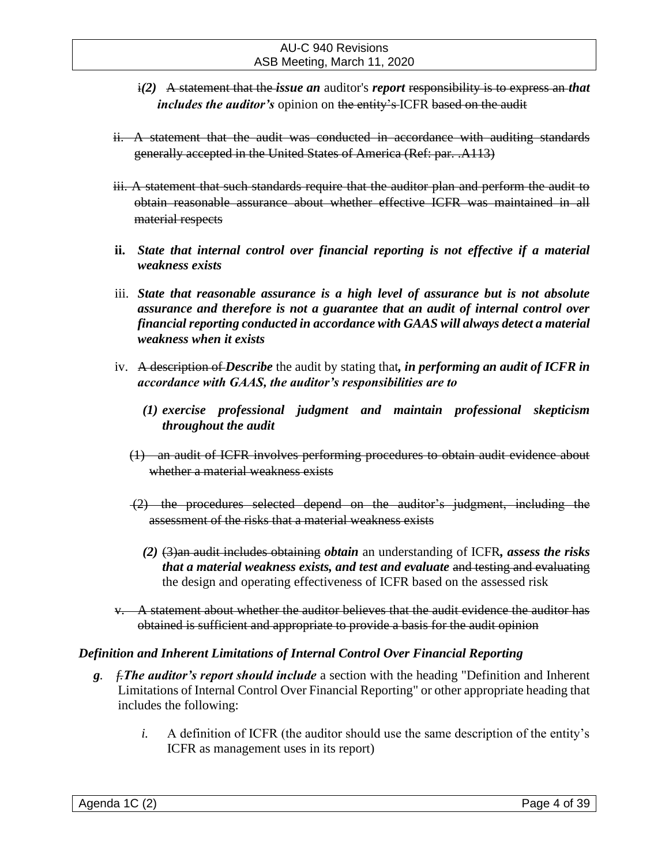- i*(2)* A statement that the *issue an* auditor's *report* responsibility is to express an *that includes the auditor's* opinion on the entity's ICFR based on the audit
- ii. A statement that the audit was conducted in accordance with auditing standards generally accepted in the United States of America (Ref: par. .A113)
- iii. A statement that such standards require that the auditor plan and perform the audit to obtain reasonable assurance about whether effective ICFR was maintained in all material respects
- **ii.** *State that internal control over financial reporting is not effective if a material weakness exists*
- iii. *State that reasonable assurance is a high level of assurance but is not absolute assurance and therefore is not a guarantee that an audit of internal control over financial reporting conducted in accordance with GAAS will always detect a material weakness when it exists*
- iv. A description of *Describe* the audit by stating that*, in performing an audit of ICFR in accordance with GAAS, the auditor's responsibilities are to*
	- *(1) exercise professional judgment and maintain professional skepticism throughout the audit*
	- (1) an audit of ICFR involves performing procedures to obtain audit evidence about whether a material weakness exists
	- (2) the procedures selected depend on the auditor's judgment, including the assessment of the risks that a material weakness exists
		- *(2)* (3)an audit includes obtaining *obtain* an understanding of ICFR*, assess the risks that a material weakness exists, and test and evaluate* and testing and evaluating the design and operating effectiveness of ICFR based on the assessed risk
- v. A statement about whether the auditor believes that the audit evidence the auditor has obtained is sufficient and appropriate to provide a basis for the audit opinion

#### *Definition and Inherent Limitations of Internal Control Over Financial Reporting*

- *g. f.The auditor's report should include* a section with the heading "Definition and Inherent Limitations of Internal Control Over Financial Reporting" or other appropriate heading that includes the following:
	- *i.* A definition of ICFR (the auditor should use the same description of the entity's ICFR as management uses in its report)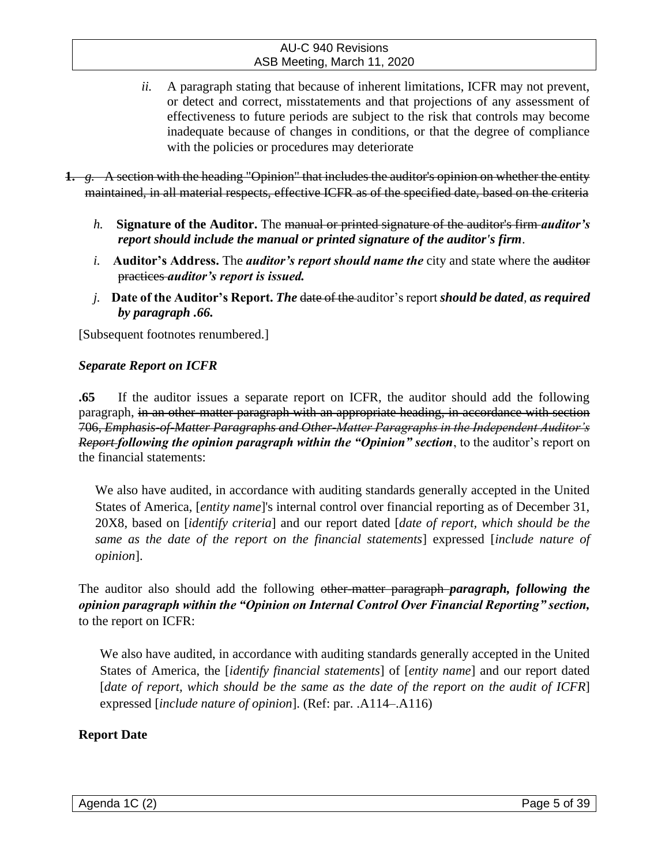- *ii.* A paragraph stating that because of inherent limitations, ICFR may not prevent, or detect and correct, misstatements and that projections of any assessment of effectiveness to future periods are subject to the risk that controls may become inadequate because of changes in conditions, or that the degree of compliance with the policies or procedures may deteriorate
- **1.** *g.* A section with the heading "Opinion" that includes the auditor's opinion on whether the entity maintained, in all material respects, effective ICFR as of the specified date, based on the criteria
	- *h.* **Signature of the Auditor.** The manual or printed signature of the auditor's firm *auditor's report should include the manual or printed signature of the auditor's firm*.
	- *i.* **Auditor's Address.** The *auditor's report should name the* city and state where the auditor practices *auditor's report is issued.*
	- *j.* **Date of the Auditor's Report.** *The* date of the auditor's report *should be dated*, *as required by paragraph .66.*

[Subsequent footnotes renumbered.]

### *Separate Report on ICFR*

**.65** If the auditor issues a separate report on ICFR, the auditor should add the following paragraph, in an other-matter paragraph with an appropriate heading, in accordance with section 706, *Emphasis-of-Matter Paragraphs and Other-Matter Paragraphs in the Independent Auditor's Report following the opinion paragraph within the "Opinion" section*, to the auditor's report on the financial statements:

We also have audited, in accordance with auditing standards generally accepted in the United States of America, [*entity name*]'s internal control over financial reporting as of December 31, 20X8, based on [*identify criteria*] and our report dated [*date of report, which should be the same as the date of the report on the financial statements*] expressed [*include nature of opinion*].

The auditor also should add the following other-matter paragraph *paragraph, following the opinion paragraph within the "Opinion on Internal Control Over Financial Reporting" section,* to the report on ICFR:

We also have audited, in accordance with auditing standards generally accepted in the United States of America, the [*identify financial statements*] of [*entity name*] and our report dated [*date of report, which should be the same as the date of the report on the audit of ICFR*] expressed [*include nature of opinion*]. (Ref: par. .A114–.A116)

### **Report Date**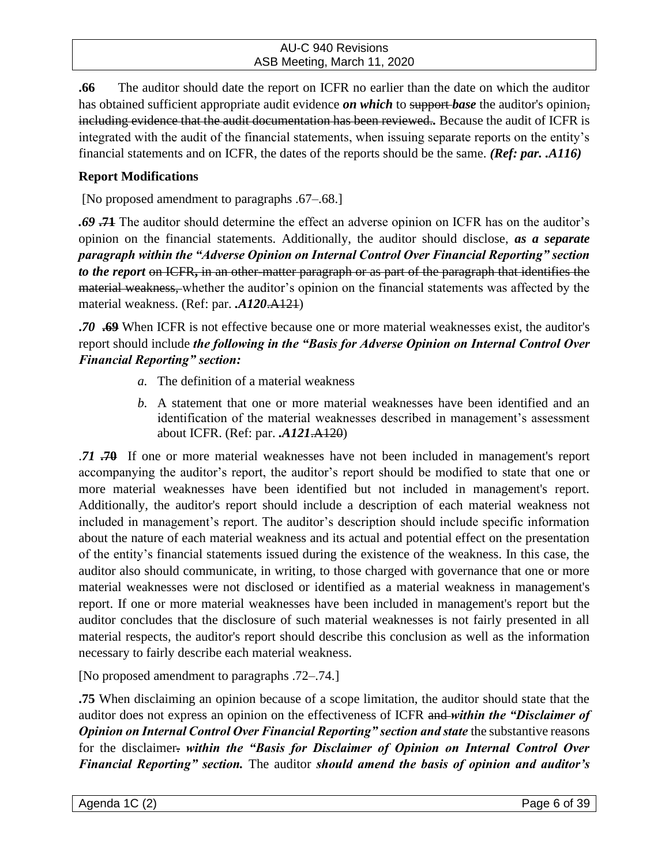**.66** The auditor should date the report on ICFR no earlier than the date on which the auditor has obtained sufficient appropriate audit evidence *on which* to support *base* the auditor's opinion, including evidence that the audit documentation has been reviewed.*.* Because the audit of ICFR is integrated with the audit of the financial statements, when issuing separate reports on the entity's financial statements and on ICFR, the dates of the reports should be the same. *(Ref: par. .A116)*

### **Report Modifications**

[No proposed amendment to paragraphs .67–.68.]

*.69* **.71** The auditor should determine the effect an adverse opinion on ICFR has on the auditor's opinion on the financial statements. Additionally, the auditor should disclose, *as a separate paragraph within the "Adverse Opinion on Internal Control Over Financial Reporting" section to the report* on ICFR**,** in an other-matter paragraph or as part of the paragraph that identifies the material weakness, whether the auditor's opinion on the financial statements was affected by the material weakness. (Ref: par. *.A120*.A121)

**.***70* **.69** When ICFR is not effective because one or more material weaknesses exist, the auditor's report should include *the following in the "Basis for Adverse Opinion on Internal Control Over Financial Reporting" section:*

- *a.* The definition of a material weakness
- *b.* A statement that one or more material weaknesses have been identified and an identification of the material weaknesses described in management's assessment about ICFR. (Ref: par. *.A121*.A120)

.*71* **.70** If one or more material weaknesses have not been included in management's report accompanying the auditor's report, the auditor's report should be modified to state that one or more material weaknesses have been identified but not included in management's report. Additionally, the auditor's report should include a description of each material weakness not included in management's report. The auditor's description should include specific information about the nature of each material weakness and its actual and potential effect on the presentation of the entity's financial statements issued during the existence of the weakness. In this case, the auditor also should communicate, in writing, to those charged with governance that one or more material weaknesses were not disclosed or identified as a material weakness in management's report. If one or more material weaknesses have been included in management's report but the auditor concludes that the disclosure of such material weaknesses is not fairly presented in all material respects, the auditor's report should describe this conclusion as well as the information necessary to fairly describe each material weakness.

[No proposed amendment to paragraphs .72–.74.]

**.75** When disclaiming an opinion because of a scope limitation, the auditor should state that the auditor does not express an opinion on the effectiveness of ICFR and *within the "Disclaimer of Opinion on Internal Control Over Financial Reporting" section and state* the substantive reasons for the disclaimer. *within the "Basis for Disclaimer of Opinion on Internal Control Over Financial Reporting" section.* The auditor *should amend the basis of opinion and auditor's*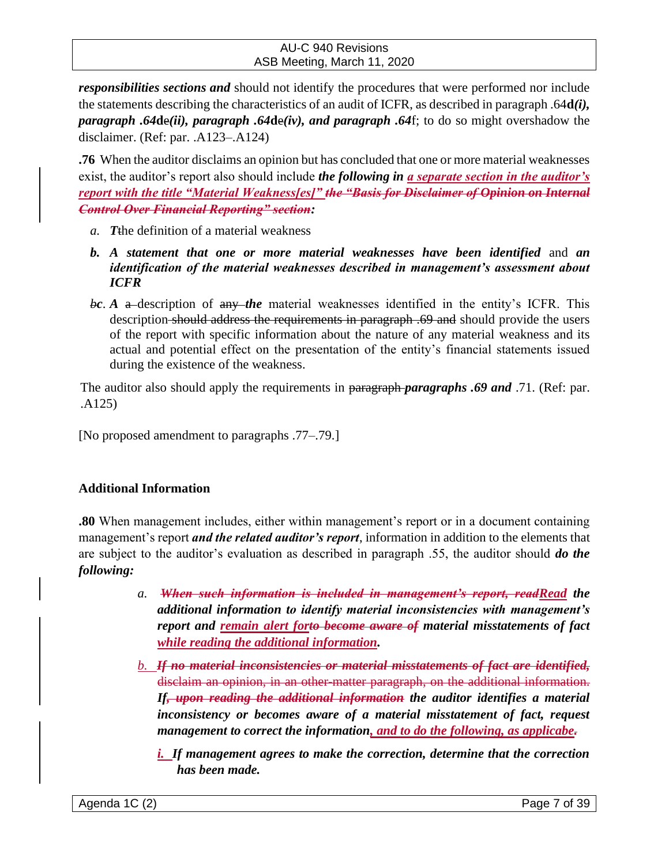*responsibilities sections and* should not identify the procedures that were performed nor include the statements describing the characteristics of an audit of ICFR, as described in paragraph .64**d***(i), paragraph .64***d**e*(ii), paragraph .64***d**e*(iv), and paragraph .64*f; to do so might overshadow the disclaimer. (Ref: par. .A123–.A124)

**.76** When the auditor disclaims an opinion but has concluded that one or more material weaknesses exist, the auditor's report also should include *the following in a separate section in the auditor's report with the title "Material Weakness[es]" the "Basis for Disclaimer of Opinion on Internal Control Over Financial Reporting" section:*

- *a. T*the definition of a material weakness
- *b. A statement that one or more material weaknesses have been identified* and *an identification of the material weaknesses described in management's assessment about ICFR*
- bc. A a description of any *the* material weaknesses identified in the entity's ICFR. This description should address the requirements in paragraph .69 and should provide the users of the report with specific information about the nature of any material weakness and its actual and potential effect on the presentation of the entity's financial statements issued during the existence of the weakness.

The auditor also should apply the requirements in paragraph *paragraphs .69 and* .71. (Ref: par. .A125)

[No proposed amendment to paragraphs .77–.79.]

### **Additional Information**

**.80** When management includes, either within management's report or in a document containing management's report *and the related auditor's report*, information in addition to the elements that are subject to the auditor's evaluation as described in paragraph .55, the auditor should *do the following:*

- *a. When such information is included in management's report, readRead the additional information to identify material inconsistencies with management's report and remain alert forto become aware of material misstatements of fact while reading the additional information.*
- *b. If no material inconsistencies or material misstatements of fact are identified,* disclaim an opinion, in an other-matter paragraph, on the additional information. *If, upon reading the additional information the auditor identifies a material inconsistency or becomes aware of a material misstatement of fact, request management to correct the information, and to do the following, as applicabe.* 
	- *i. If management agrees to make the correction, determine that the correction has been made.*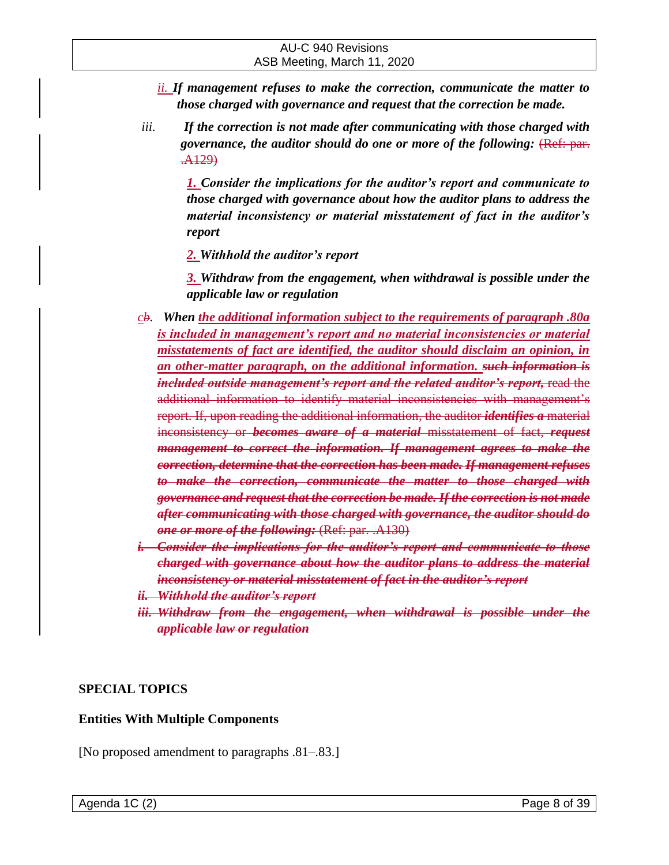- *ii. If management refuses to make the correction, communicate the matter to those charged with governance and request that the correction be made.*
- *iii. If the correction is not made after communicating with those charged with governance, the auditor should do one or more of the following:* (Ref: par. .A129)

*1. Consider the implications for the auditor's report and communicate to those charged with governance about how the auditor plans to address the material inconsistency or material misstatement of fact in the auditor's report*

#### *2. Withhold the auditor's report*

*3. Withdraw from the engagement, when withdrawal is possible under the applicable law or regulation*

- *cb. When the additional information subject to the requirements of paragraph .80a is included in management's report and no material inconsistencies or material misstatements of fact are identified, the auditor should disclaim an opinion, in an other-matter paragraph, on the additional information. such information is included outside management's report and the related auditor's report,* read the additional information to identify material inconsistencies with management's report. If, upon reading the additional information, the auditor *identifies a* material inconsistency or *becomes aware of a material* misstatement of fact, *request management to correct the information. If management agrees to make the correction, determine that the correction has been made. If management refuses to make the correction, communicate the matter to those charged with governance and request that the correction be made. If the correction is not made after communicating with those charged with governance, the auditor should do one or more of the following:* (Ref: par. .A130)
- *i. Consider the implications for the auditor's report and communicate to those charged with governance about how the auditor plans to address the material inconsistency or material misstatement of fact in the auditor's report*
- *ii. Withhold the auditor's report*
- *iii. Withdraw from the engagement, when withdrawal is possible under the applicable law or regulation*

#### **SPECIAL TOPICS**

#### **Entities With Multiple Components**

[No proposed amendment to paragraphs .81–.83.]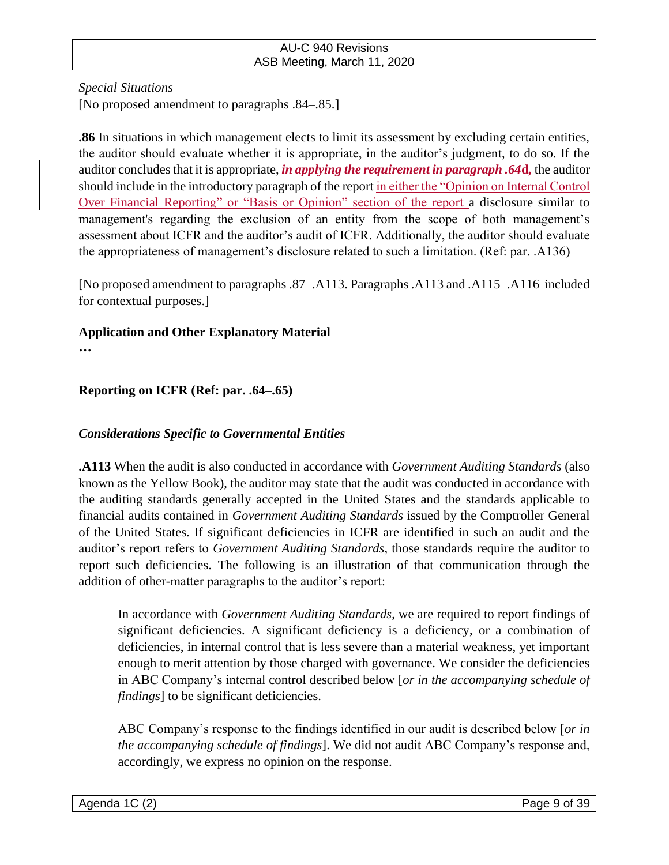*Special Situations*

[No proposed amendment to paragraphs .84–.85.]

**.86** In situations in which management elects to limit its assessment by excluding certain entities, the auditor should evaluate whether it is appropriate, in the auditor's judgment, to do so. If the auditor concludes that it is appropriate, *in applying the requirement in paragraph .64***d***,* the auditor should include in the introductory paragraph of the report in either the "Opinion on Internal Control" Over Financial Reporting" or "Basis or Opinion" section of the report a disclosure similar to management's regarding the exclusion of an entity from the scope of both management's assessment about ICFR and the auditor's audit of ICFR. Additionally, the auditor should evaluate the appropriateness of management's disclosure related to such a limitation. (Ref: par. .A136)

[No proposed amendment to paragraphs .87–.A113. Paragraphs .A113 and .A115–.A116 included for contextual purposes.]

**Application and Other Explanatory Material**

**…**

### **Reporting on ICFR (Ref: par. .64–.65)**

### *Considerations Specific to Governmental Entities*

**.A113** When the audit is also conducted in accordance with *Government Auditing Standards* (also known as the Yellow Book), the auditor may state that the audit was conducted in accordance with the auditing standards generally accepted in the United States and the standards applicable to financial audits contained in *Government Auditing Standards* issued by the Comptroller General of the United States. If significant deficiencies in ICFR are identified in such an audit and the auditor's report refers to *Government Auditing Standards*, those standards require the auditor to report such deficiencies. The following is an illustration of that communication through the addition of other-matter paragraphs to the auditor's report:

In accordance with *Government Auditing Standards*, we are required to report findings of significant deficiencies. A significant deficiency is a deficiency, or a combination of deficiencies, in internal control that is less severe than a material weakness, yet important enough to merit attention by those charged with governance. We consider the deficiencies in ABC Company's internal control described below [*or in the accompanying schedule of findings*] to be significant deficiencies.

ABC Company's response to the findings identified in our audit is described below [*or in the accompanying schedule of findings*]. We did not audit ABC Company's response and, accordingly, we express no opinion on the response.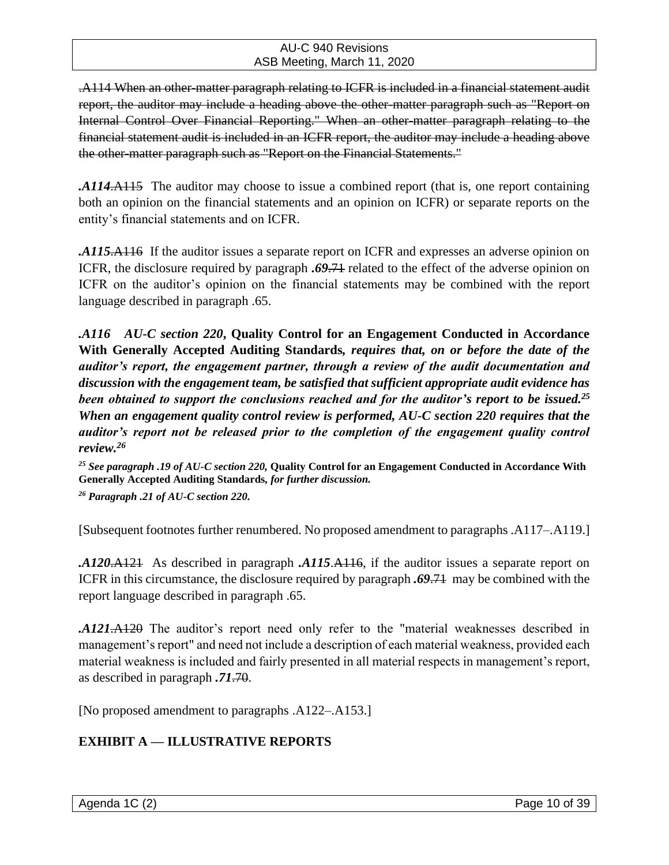.A114 When an other-matter paragraph relating to ICFR is included in a financial statement audit report, the auditor may include a heading above the other-matter paragraph such as "Report on Internal Control Over Financial Reporting." When an other-matter paragraph relating to the financial statement audit is included in an ICFR report, the auditor may include a heading above the other-matter paragraph such as "Report on the Financial Statements."

*.A114*.A115 The auditor may choose to issue a combined report (that is, one report containing both an opinion on the financial statements and an opinion on ICFR) or separate reports on the entity's financial statements and on ICFR.

*.A115*.A116 If the auditor issues a separate report on ICFR and expresses an adverse opinion on ICFR, the disclosure required by paragraph *.69*.71 related to the effect of the adverse opinion on ICFR on the auditor's opinion on the financial statements may be combined with the report language described in paragraph .65.

*.A116 AU-C section 220***, Quality Control for an Engagement Conducted in Accordance With Generally Accepted Auditing Standards***, requires that, on or before the date of the auditor's report, the engagement partner, through a review of the audit documentation and discussion with the engagement team, be satisfied that sufficient appropriate audit evidence has been obtained to support the conclusions reached and for the auditor's report to be issued.<sup>25</sup> When an engagement quality control review is performed, AU-C section 220 requires that the auditor's report not be released prior to the completion of the engagement quality control review.<sup>26</sup>*

*<sup>25</sup> See paragraph .19 of AU-C section 220,* **Quality Control for an Engagement Conducted in Accordance With Generally Accepted Auditing Standards***, for further discussion.*

*<sup>26</sup> Paragraph .21 of AU-C section 220.*

[Subsequent footnotes further renumbered. No proposed amendment to paragraphs .A117–.A119.]

*.A120*.A121 As described in paragraph *.A115*.A116, if the auditor issues a separate report on ICFR in this circumstance, the disclosure required by paragraph *.69*.71 may be combined with the report language described in paragraph .65.

*.A121*.A120 The auditor's report need only refer to the "material weaknesses described in management's report" and need not include a description of each material weakness, provided each material weakness is included and fairly presented in all material respects in management's report, as described in paragraph *.71*.70.

[No proposed amendment to paragraphs .A122–.A153.]

# **EXHIBIT A — ILLUSTRATIVE REPORTS**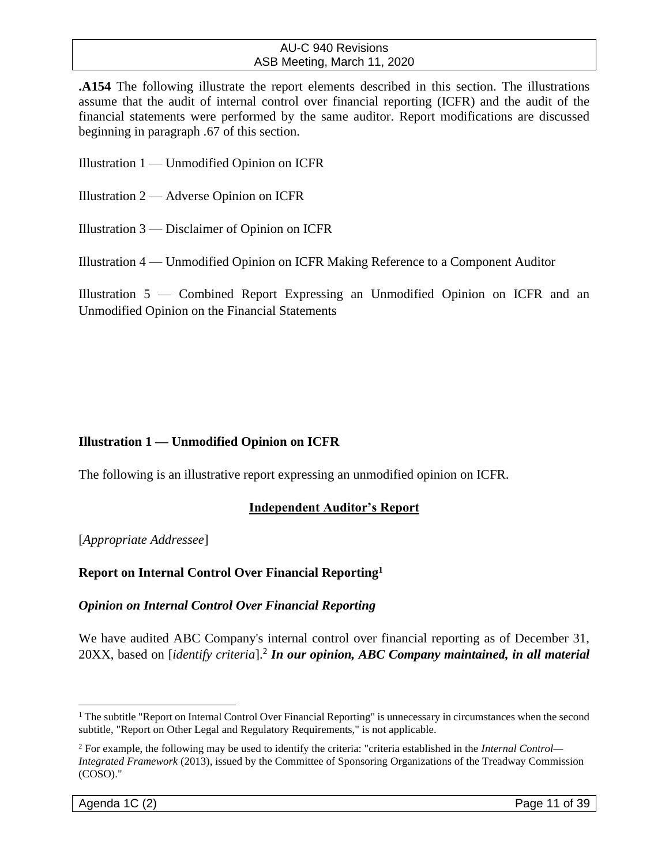**.A154** The following illustrate the report elements described in this section. The illustrations assume that the audit of internal control over financial reporting (ICFR) and the audit of the financial statements were performed by the same auditor. Report modifications are discussed beginning in paragraph .67 of this section.

Illustration 1 — Unmodified Opinion on ICFR

Illustration 2 — Adverse Opinion on ICFR

Illustration 3 — Disclaimer of Opinion on ICFR

Illustration 4 — Unmodified Opinion on ICFR Making Reference to a Component Auditor

Illustration 5 — Combined Report Expressing an Unmodified Opinion on ICFR and an Unmodified Opinion on the Financial Statements

### **Illustration 1 — Unmodified Opinion on ICFR**

The following is an illustrative report expressing an unmodified opinion on ICFR.

### **Independent Auditor's Report**

[*Appropriate Addressee*]

### **Report on Internal Control Over Financial Reporting<sup>1</sup>**

### *Opinion on Internal Control Over Financial Reporting*

We have audited ABC Company's internal control over financial reporting as of December 31, 20XX, based on [*identify criteria*].<sup>2</sup> In our opinion, ABC Company maintained, in all material

Agenda 1C (2) Page 11 of 39

<sup>&</sup>lt;sup>1</sup> The subtitle "Report on Internal Control Over Financial Reporting" is unnecessary in circumstances when the second subtitle, "Report on Other Legal and Regulatory Requirements," is not applicable.

<sup>2</sup> For example, the following may be used to identify the criteria: "criteria established in the *Internal Control— Integrated Framework* (2013), issued by the Committee of Sponsoring Organizations of the Treadway Commission (COSO)."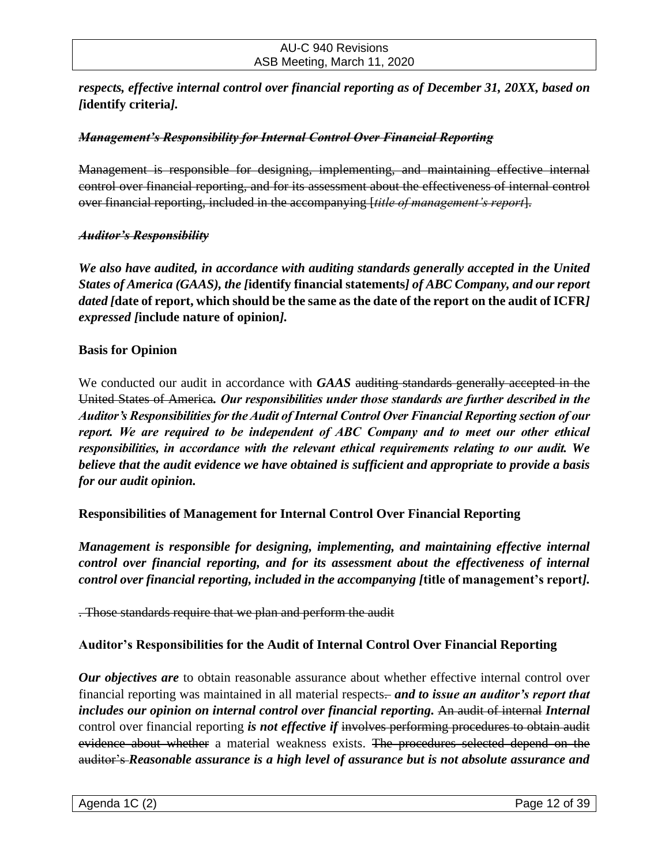*respects, effective internal control over financial reporting as of December 31, 20XX, based on [***identify criteria***].*

### *Management's Responsibility for Internal Control Over Financial Reporting*

Management is responsible for designing, implementing, and maintaining effective internal control over financial reporting, and for its assessment about the effectiveness of internal control over financial reporting, included in the accompanying [*title of management's report*].

### *Auditor's Responsibility*

*We also have audited, in accordance with auditing standards generally accepted in the United States of America (GAAS), the [***identify financial statements***] of ABC Company, and our report dated [***date of report, which should be the same as the date of the report on the audit of ICFR***] expressed [***include nature of opinion***].*

### **Basis for Opinion**

We conducted our audit in accordance with *GAAS* auditing standards generally accepted in the United States of America*. Our responsibilities under those standards are further described in the Auditor's Responsibilities for the Audit of Internal Control Over Financial Reporting section of our report. We are required to be independent of ABC Company and to meet our other ethical responsibilities, in accordance with the relevant ethical requirements relating to our audit. We believe that the audit evidence we have obtained is sufficient and appropriate to provide a basis for our audit opinion.*

### **Responsibilities of Management for Internal Control Over Financial Reporting**

*Management is responsible for designing, implementing, and maintaining effective internal control over financial reporting, and for its assessment about the effectiveness of internal control over financial reporting, included in the accompanying [***title of management's report***].* 

. Those standards require that we plan and perform the audit

#### **Auditor's Responsibilities for the Audit of Internal Control Over Financial Reporting**

*Our objectives are* to obtain reasonable assurance about whether effective internal control over financial reporting was maintained in all material respects. *and to issue an auditor's report that includes our opinion on internal control over financial reporting.* An audit of internal *Internal*  control over financial reporting *is not effective if* involves performing procedures to obtain audit evidence about whether a material weakness exists. The procedures selected depend on the auditor's *Reasonable assurance is a high level of assurance but is not absolute assurance and*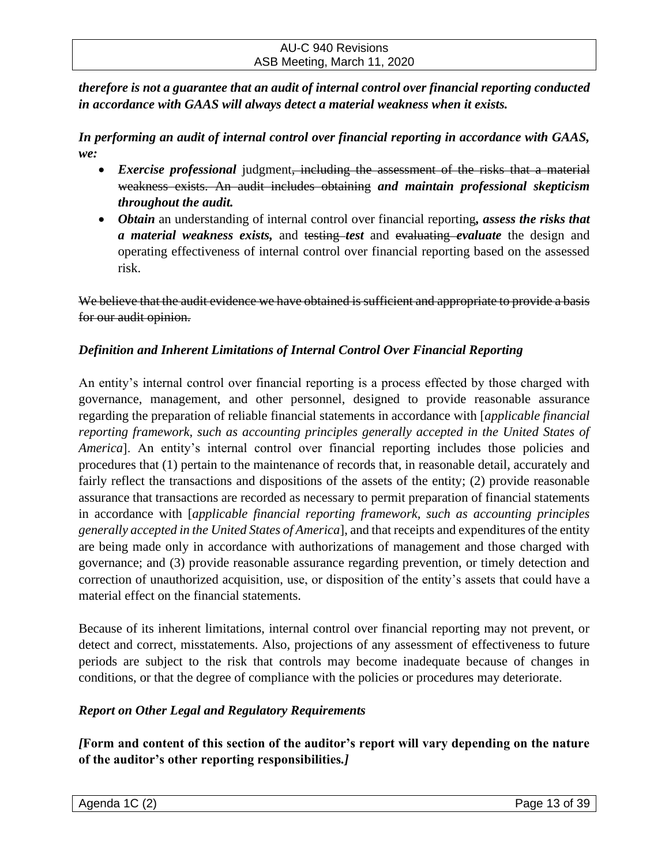*therefore is not a guarantee that an audit of internal control over financial reporting conducted in accordance with GAAS will always detect a material weakness when it exists.* 

*In performing an audit of internal control over financial reporting in accordance with GAAS, we:*

- *Exercise professional* judgment<del>, including the assessment of the risks that a material</del> weakness exists. An audit includes obtaining *and maintain professional skepticism throughout the audit.*
- *Obtain* an understanding of internal control over financial reporting*, assess the risks that a material weakness exists,* and testing *test* and evaluating *evaluate* the design and operating effectiveness of internal control over financial reporting based on the assessed risk.

We believe that the audit evidence we have obtained is sufficient and appropriate to provide a basis for our audit opinion.

### *Definition and Inherent Limitations of Internal Control Over Financial Reporting*

An entity's internal control over financial reporting is a process effected by those charged with governance, management, and other personnel, designed to provide reasonable assurance regarding the preparation of reliable financial statements in accordance with [*applicable financial reporting framework, such as accounting principles generally accepted in the United States of America*]. An entity's internal control over financial reporting includes those policies and procedures that (1) pertain to the maintenance of records that, in reasonable detail, accurately and fairly reflect the transactions and dispositions of the assets of the entity; (2) provide reasonable assurance that transactions are recorded as necessary to permit preparation of financial statements in accordance with [*applicable financial reporting framework, such as accounting principles generally accepted in the United States of America*], and that receipts and expenditures of the entity are being made only in accordance with authorizations of management and those charged with governance; and (3) provide reasonable assurance regarding prevention, or timely detection and correction of unauthorized acquisition, use, or disposition of the entity's assets that could have a material effect on the financial statements.

Because of its inherent limitations, internal control over financial reporting may not prevent, or detect and correct, misstatements. Also, projections of any assessment of effectiveness to future periods are subject to the risk that controls may become inadequate because of changes in conditions, or that the degree of compliance with the policies or procedures may deteriorate.

### *Report on Other Legal and Regulatory Requirements*

*[***Form and content of this section of the auditor's report will vary depending on the nature of the auditor's other reporting responsibilities***.]*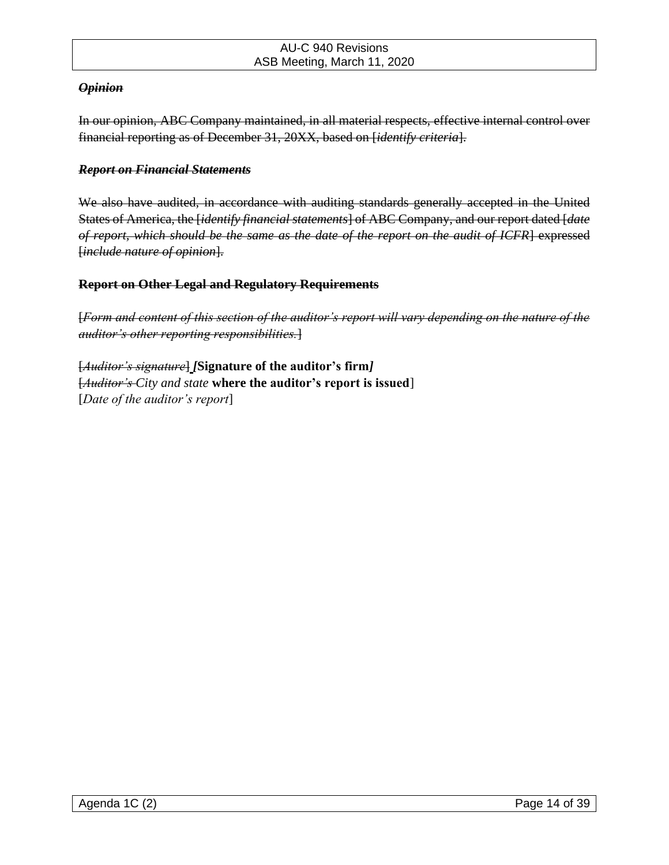### *Opinion*

In our opinion, ABC Company maintained, in all material respects, effective internal control over financial reporting as of December 31, 20XX, based on [*identify criteria*].

### *Report on Financial Statements*

We also have audited, in accordance with auditing standards generally accepted in the United States of America, the [*identify financial statements*] of ABC Company, and our report dated [*date of report, which should be the same as the date of the report on the audit of ICFR*] expressed [*include nature of opinion*].

### **Report on Other Legal and Regulatory Requirements**

[*Form and content of this section of the auditor's report will vary depending on the nature of the auditor's other reporting responsibilities.*]

[*Auditor's signature*] *[***Signature of the auditor's firm***]* [*Auditor's City and state* **where the auditor's report is issued**] [*Date of the auditor's report*]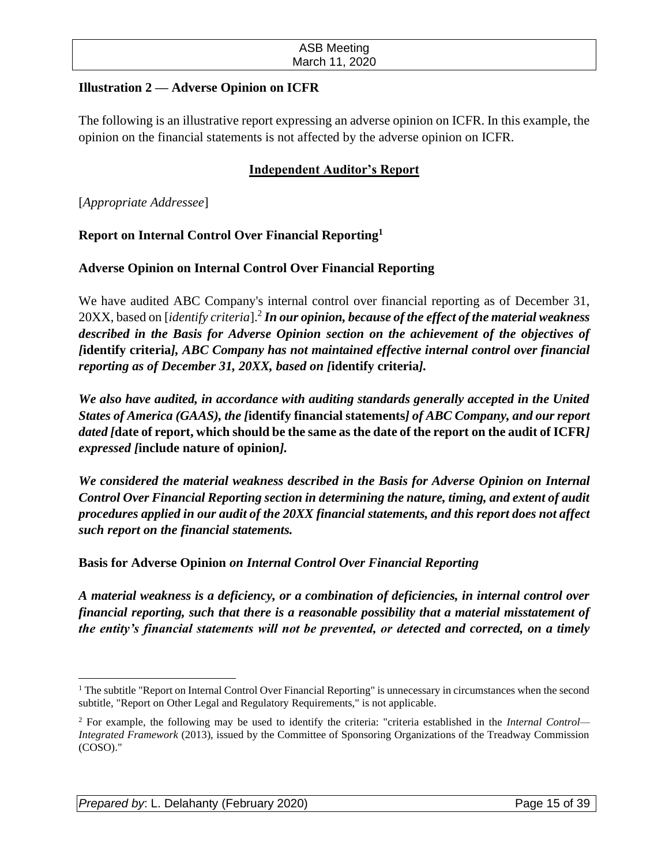| ASB Meeting    |  |
|----------------|--|
| March 11, 2020 |  |
|                |  |

### **Illustration 2 — Adverse Opinion on ICFR**

The following is an illustrative report expressing an adverse opinion on ICFR. In this example, the opinion on the financial statements is not affected by the adverse opinion on ICFR.

### **Independent Auditor's Report**

[*Appropriate Addressee*]

### **Report on Internal Control Over Financial Reporting<sup>1</sup>**

### **Adverse Opinion on Internal Control Over Financial Reporting**

We have audited ABC Company's internal control over financial reporting as of December 31, 20XX, based on [*identify criteria*].<sup>2</sup> In our opinion, because of the effect of the material weakness *described in the Basis for Adverse Opinion section on the achievement of the objectives of [***identify criteria***], ABC Company has not maintained effective internal control over financial reporting as of December 31, 20XX, based on [***identify criteria***].*

*We also have audited, in accordance with auditing standards generally accepted in the United States of America (GAAS), the [***identify financial statements***] of ABC Company, and our report dated [***date of report, which should be the same as the date of the report on the audit of ICFR***] expressed [***include nature of opinion***].* 

*We considered the material weakness described in the Basis for Adverse Opinion on Internal Control Over Financial Reporting section in determining the nature, timing, and extent of audit procedures applied in our audit of the 20XX financial statements, and this report does not affect such report on the financial statements.*

**Basis for Adverse Opinion** *on Internal Control Over Financial Reporting*

*A material weakness is a deficiency, or a combination of deficiencies, in internal control over financial reporting, such that there is a reasonable possibility that a material misstatement of the entity's financial statements will not be prevented, or detected and corrected, on a timely* 

<sup>&</sup>lt;sup>1</sup> The subtitle "Report on Internal Control Over Financial Reporting" is unnecessary in circumstances when the second subtitle, "Report on Other Legal and Regulatory Requirements," is not applicable.

<sup>2</sup> For example, the following may be used to identify the criteria: "criteria established in the *Internal Control— Integrated Framework* (2013), issued by the Committee of Sponsoring Organizations of the Treadway Commission (COSO)."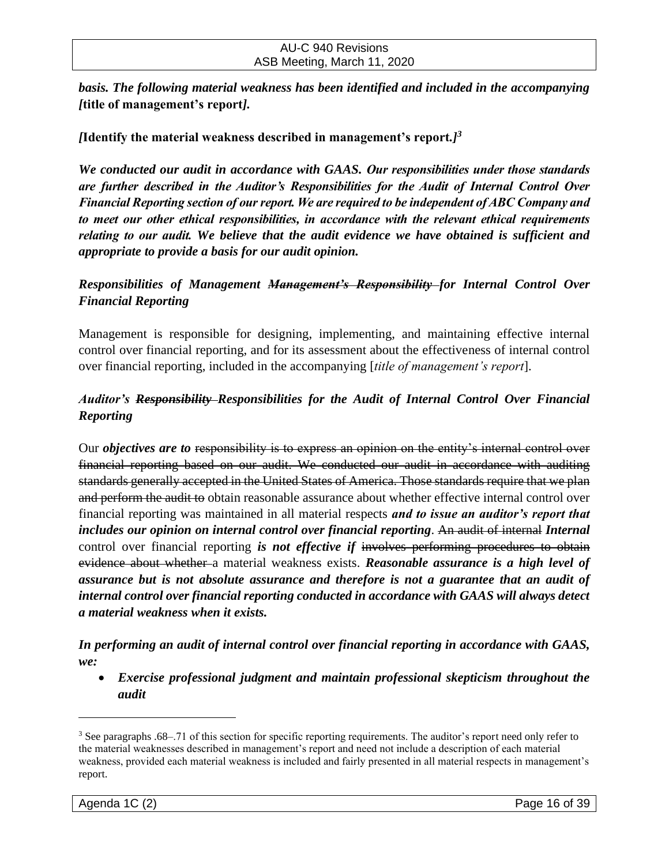*basis. The following material weakness has been identified and included in the accompanying [***title of management's report***].*

### *[***Identify the material weakness described in management's report***.] 3*

*We conducted our audit in accordance with GAAS. Our responsibilities under those standards are further described in the Auditor's Responsibilities for the Audit of Internal Control Over Financial Reporting section of our report. We are required to be independent of ABC Company and to meet our other ethical responsibilities, in accordance with the relevant ethical requirements relating to our audit. We believe that the audit evidence we have obtained is sufficient and appropriate to provide a basis for our audit opinion.*

### *Responsibilities of Management Management's Responsibility for Internal Control Over Financial Reporting*

Management is responsible for designing, implementing, and maintaining effective internal control over financial reporting, and for its assessment about the effectiveness of internal control over financial reporting, included in the accompanying [*title of management's report*].

### *Auditor's Responsibility Responsibilities for the Audit of Internal Control Over Financial Reporting*

Our *objectives are to* responsibility is to express an opinion on the entity's internal control over financial reporting based on our audit. We conducted our audit in accordance with auditing standards generally accepted in the United States of America. Those standards require that we plan and perform the audit to obtain reasonable assurance about whether effective internal control over financial reporting was maintained in all material respects *and to issue an auditor's report that includes our opinion on internal control over financial reporting*. An audit of internal *Internal*  control over financial reporting *is not effective if* involves performing procedures to obtain evidence about whether a material weakness exists. *Reasonable assurance is a high level of assurance but is not absolute assurance and therefore is not a guarantee that an audit of internal control over financial reporting conducted in accordance with GAAS will always detect a material weakness when it exists.* 

*In performing an audit of internal control over financial reporting in accordance with GAAS, we:*

• *Exercise professional judgment and maintain professional skepticism throughout the audit*

<sup>3</sup> See paragraphs .68–.71 of this section for specific reporting requirements. The auditor's report need only refer to the material weaknesses described in management's report and need not include a description of each material weakness, provided each material weakness is included and fairly presented in all material respects in management's report.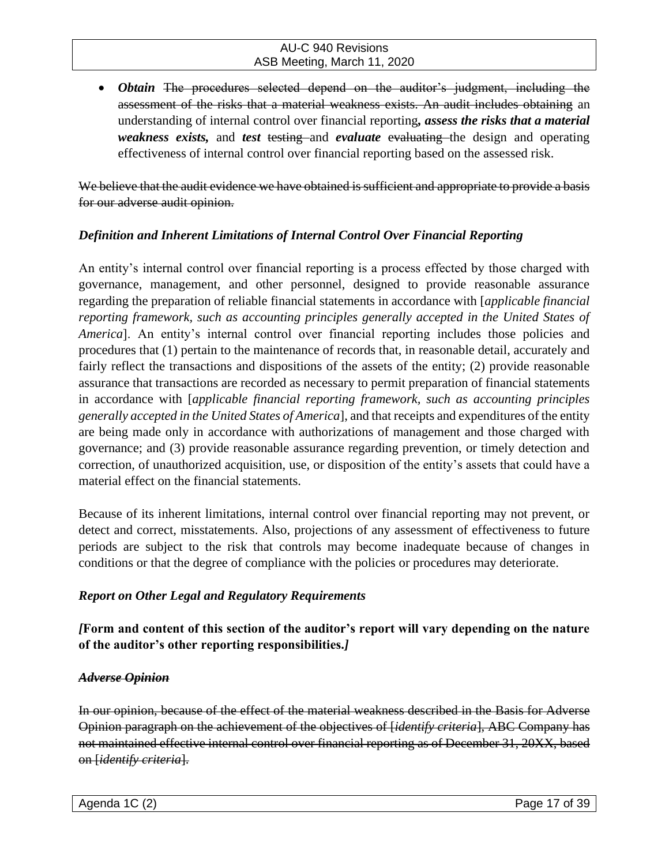• *Obtain* The procedures selected depend on the auditor's judgment, including the assessment of the risks that a material weakness exists. An audit includes obtaining an understanding of internal control over financial reporting*, assess the risks that a material weakness exists*, and *test* testing and *evaluate* evaluating the design and operating effectiveness of internal control over financial reporting based on the assessed risk.

We believe that the audit evidence we have obtained is sufficient and appropriate to provide a basis for our adverse audit opinion.

### *Definition and Inherent Limitations of Internal Control Over Financial Reporting*

An entity's internal control over financial reporting is a process effected by those charged with governance, management, and other personnel, designed to provide reasonable assurance regarding the preparation of reliable financial statements in accordance with [*applicable financial reporting framework, such as accounting principles generally accepted in the United States of America*]. An entity's internal control over financial reporting includes those policies and procedures that (1) pertain to the maintenance of records that, in reasonable detail, accurately and fairly reflect the transactions and dispositions of the assets of the entity; (2) provide reasonable assurance that transactions are recorded as necessary to permit preparation of financial statements in accordance with [*applicable financial reporting framework, such as accounting principles generally accepted in the United States of America*], and that receipts and expenditures of the entity are being made only in accordance with authorizations of management and those charged with governance; and (3) provide reasonable assurance regarding prevention, or timely detection and correction, of unauthorized acquisition, use, or disposition of the entity's assets that could have a material effect on the financial statements.

Because of its inherent limitations, internal control over financial reporting may not prevent, or detect and correct, misstatements. Also, projections of any assessment of effectiveness to future periods are subject to the risk that controls may become inadequate because of changes in conditions or that the degree of compliance with the policies or procedures may deteriorate.

### *Report on Other Legal and Regulatory Requirements*

*[***Form and content of this section of the auditor's report will vary depending on the nature of the auditor's other reporting responsibilities.***]*

#### *Adverse Opinion*

In our opinion, because of the effect of the material weakness described in the Basis for Adverse Opinion paragraph on the achievement of the objectives of [*identify criteria*], ABC Company has not maintained effective internal control over financial reporting as of December 31, 20XX, based on [*identify criteria*].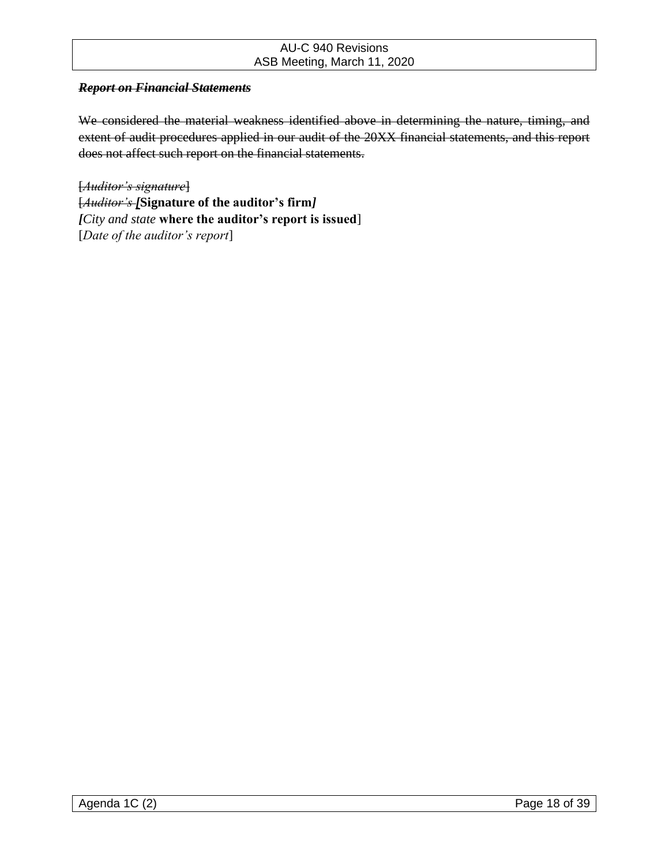### *Report on Financial Statements*

We considered the material weakness identified above in determining the nature, timing, and extent of audit procedures applied in our audit of the 20XX financial statements, and this report does not affect such report on the financial statements.

[*Auditor's signature*] [*Auditor's [***Signature of the auditor's firm***] [City and state* **where the auditor's report is issued**] [*Date of the auditor's report*]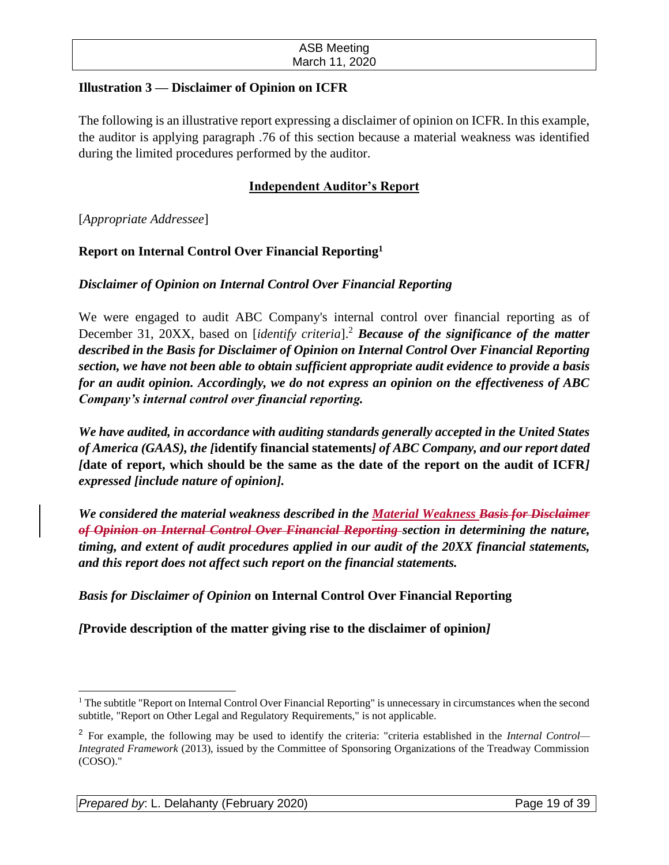| <b>ASB Meeting</b> |  |
|--------------------|--|
| March 11, 2020     |  |
|                    |  |

### **Illustration 3 — Disclaimer of Opinion on ICFR**

The following is an illustrative report expressing a disclaimer of opinion on ICFR. In this example, the auditor is applying paragraph .76 of this section because a material weakness was identified during the limited procedures performed by the auditor.

### **Independent Auditor's Report**

[*Appropriate Addressee*]

### **Report on Internal Control Over Financial Reporting<sup>1</sup>**

### *Disclaimer of Opinion on Internal Control Over Financial Reporting*

We were engaged to audit ABC Company's internal control over financial reporting as of December 31, 20XX, based on [*identify criteria*].<sup>2</sup> *Because of the significance of the matter described in the Basis for Disclaimer of Opinion on Internal Control Over Financial Reporting section, we have not been able to obtain sufficient appropriate audit evidence to provide a basis for an audit opinion. Accordingly, we do not express an opinion on the effectiveness of ABC Company's internal control over financial reporting.*

*We have audited, in accordance with auditing standards generally accepted in the United States of America (GAAS), the [***identify financial statements***] of ABC Company, and our report dated [***date of report, which should be the same as the date of the report on the audit of ICFR***] expressed [include nature of opinion].* 

*We considered the material weakness described in the Material Weakness Basis for Disclaimer of Opinion on Internal Control Over Financial Reporting section in determining the nature, timing, and extent of audit procedures applied in our audit of the 20XX financial statements, and this report does not affect such report on the financial statements.*

### *Basis for Disclaimer of Opinion* **on Internal Control Over Financial Reporting**

*[***Provide description of the matter giving rise to the disclaimer of opinion***]*

<sup>&</sup>lt;sup>1</sup> The subtitle "Report on Internal Control Over Financial Reporting" is unnecessary in circumstances when the second subtitle, "Report on Other Legal and Regulatory Requirements," is not applicable.

<sup>2</sup> For example, the following may be used to identify the criteria: "criteria established in the *Internal Control— Integrated Framework* (2013), issued by the Committee of Sponsoring Organizations of the Treadway Commission (COSO)."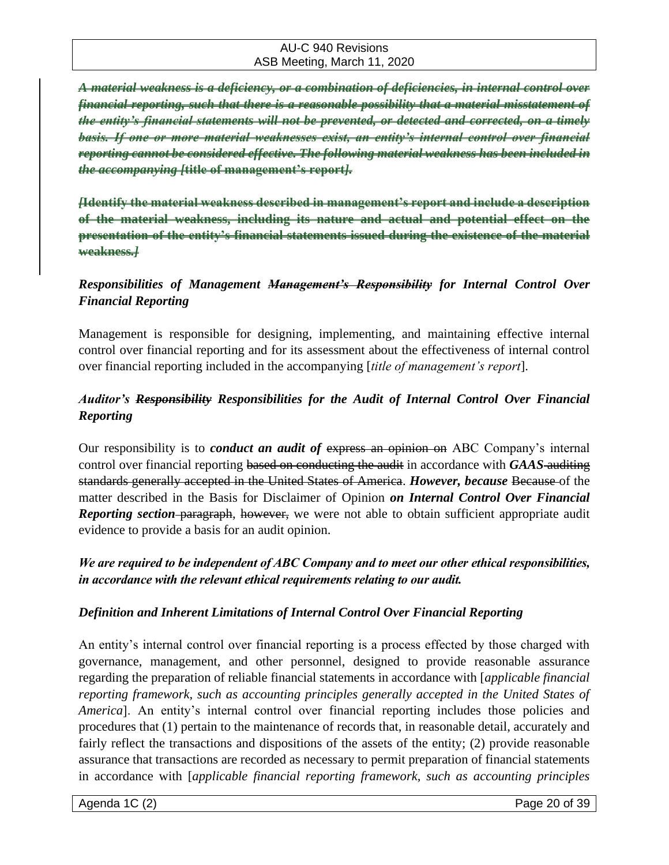*A material weakness is a deficiency, or a combination of deficiencies, in internal control over financial reporting, such that there is a reasonable possibility that a material misstatement of the entity's financial statements will not be prevented, or detected and corrected, on a timely basis. If one or more material weaknesses exist, an entity's internal control over financial reporting cannot be considered effective. The following material weakness has been included in the accompanying [***title of management's report***].*

*[***Identify the material weakness described in management's report and include a description of the material weakness, including its nature and actual and potential effect on the presentation of the entity's financial statements issued during the existence of the material weakness***.]*

### *Responsibilities of Management Management's Responsibility for Internal Control Over Financial Reporting*

Management is responsible for designing, implementing, and maintaining effective internal control over financial reporting and for its assessment about the effectiveness of internal control over financial reporting included in the accompanying [*title of management's report*].

## *Auditor's Responsibility Responsibilities for the Audit of Internal Control Over Financial Reporting*

Our responsibility is to *conduct an audit of* express an opinion on ABC Company's internal control over financial reporting based on conducting the audit in accordance with *GAAS* auditing standards generally accepted in the United States of America. *However, because* Because of the matter described in the Basis for Disclaimer of Opinion *on Internal Control Over Financial Reporting section–paragraph, however, we were not able to obtain sufficient appropriate audit* evidence to provide a basis for an audit opinion.

### *We are required to be independent of ABC Company and to meet our other ethical responsibilities, in accordance with the relevant ethical requirements relating to our audit.*

### *Definition and Inherent Limitations of Internal Control Over Financial Reporting*

An entity's internal control over financial reporting is a process effected by those charged with governance, management, and other personnel, designed to provide reasonable assurance regarding the preparation of reliable financial statements in accordance with [*applicable financial reporting framework, such as accounting principles generally accepted in the United States of America*]. An entity's internal control over financial reporting includes those policies and procedures that (1) pertain to the maintenance of records that, in reasonable detail, accurately and fairly reflect the transactions and dispositions of the assets of the entity; (2) provide reasonable assurance that transactions are recorded as necessary to permit preparation of financial statements in accordance with [*applicable financial reporting framework, such as accounting principles*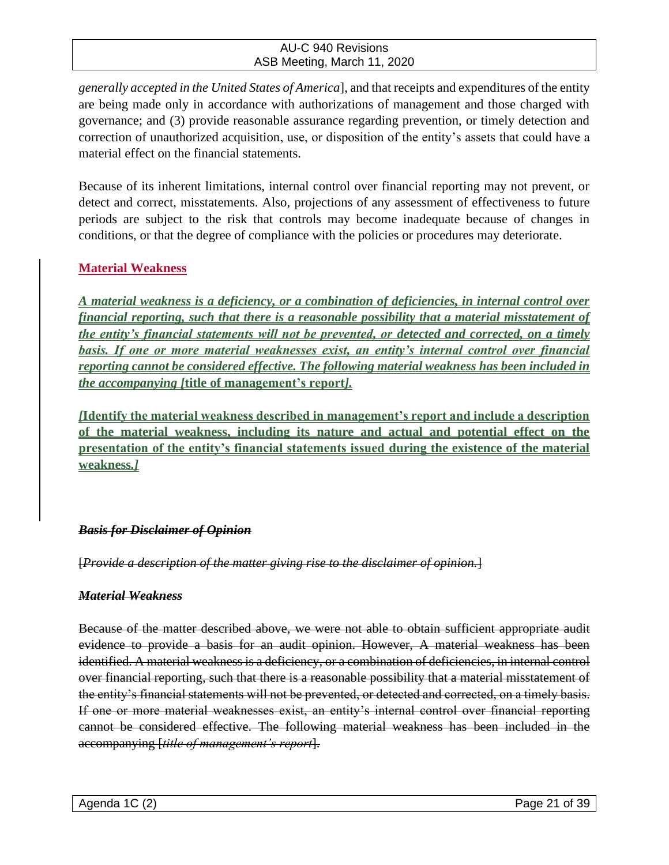*generally accepted in the United States of America*], and that receipts and expenditures of the entity are being made only in accordance with authorizations of management and those charged with governance; and (3) provide reasonable assurance regarding prevention, or timely detection and correction of unauthorized acquisition, use, or disposition of the entity's assets that could have a material effect on the financial statements.

Because of its inherent limitations, internal control over financial reporting may not prevent, or detect and correct, misstatements. Also, projections of any assessment of effectiveness to future periods are subject to the risk that controls may become inadequate because of changes in conditions, or that the degree of compliance with the policies or procedures may deteriorate.

### **Material Weakness**

*A material weakness is a deficiency, or a combination of deficiencies, in internal control over financial reporting, such that there is a reasonable possibility that a material misstatement of the entity's financial statements will not be prevented, or detected and corrected, on a timely basis. If one or more material weaknesses exist, an entity's internal control over financial reporting cannot be considered effective. The following material weakness has been included in the accompanying [***title of management's report***].*

*[***Identify the material weakness described in management's report and include a description of the material weakness, including its nature and actual and potential effect on the presentation of the entity's financial statements issued during the existence of the material weakness***.]*

#### *Basis for Disclaimer of Opinion*

[*Provide a description of the matter giving rise to the disclaimer of opinion.*]

#### *Material Weakness*

Because of the matter described above, we were not able to obtain sufficient appropriate audit evidence to provide a basis for an audit opinion. However, A material weakness has been identified. A material weakness is a deficiency, or a combination of deficiencies, in internal control over financial reporting, such that there is a reasonable possibility that a material misstatement of the entity's financial statements will not be prevented, or detected and corrected, on a timely basis. If one or more material weaknesses exist, an entity's internal control over financial reporting cannot be considered effective. The following material weakness has been included in the accompanying [*title of management's report*].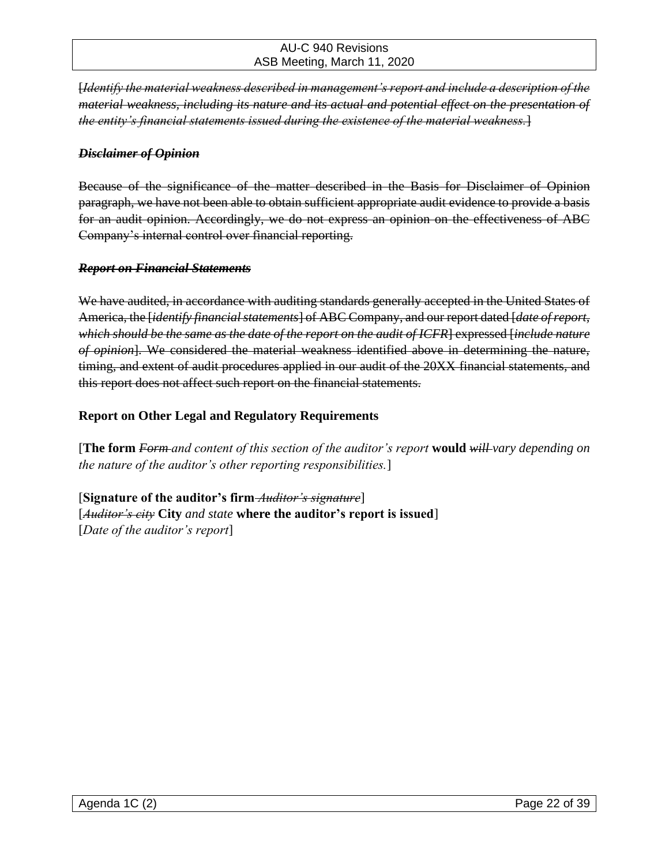[*Identify the material weakness described in management's report and include a description of the material weakness, including its nature and its actual and potential effect on the presentation of the entity's financial statements issued during the existence of the material weakness.*]

### *Disclaimer of Opinion*

Because of the significance of the matter described in the Basis for Disclaimer of Opinion paragraph, we have not been able to obtain sufficient appropriate audit evidence to provide a basis for an audit opinion. Accordingly, we do not express an opinion on the effectiveness of ABC Company's internal control over financial reporting.

#### *Report on Financial Statements*

We have audited, in accordance with auditing standards generally accepted in the United States of America, the [*identify financial statements*] of ABC Company, and our report dated [*date of report, which should be the same as the date of the report on the audit of ICFR*] expressed [*include nature of opinion*]. We considered the material weakness identified above in determining the nature, timing, and extent of audit procedures applied in our audit of the 20XX financial statements, and this report does not affect such report on the financial statements.

### **Report on Other Legal and Regulatory Requirements**

[**The form** *Form and content of this section of the auditor's report* **would** *will vary depending on the nature of the auditor's other reporting responsibilities.*]

[**Signature of the auditor's firm** *Auditor's signature*] [*Auditor's city* **City** *and state* **where the auditor's report is issued**] [*Date of the auditor's report*]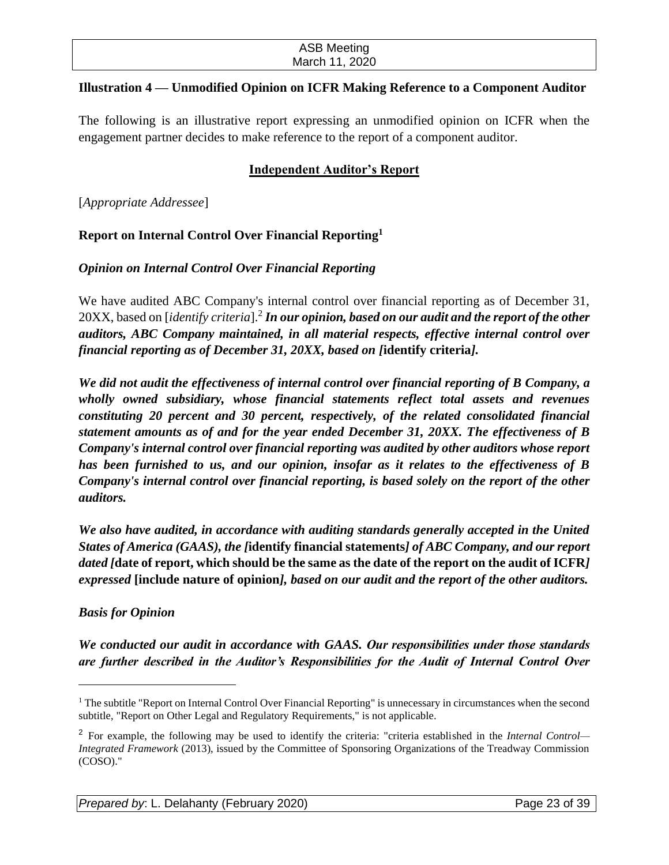| <b>ASB Meeting</b> |  |
|--------------------|--|
| March 11, 2020     |  |
|                    |  |

### **Illustration 4 — Unmodified Opinion on ICFR Making Reference to a Component Auditor**

The following is an illustrative report expressing an unmodified opinion on ICFR when the engagement partner decides to make reference to the report of a component auditor.

### **Independent Auditor's Report**

[*Appropriate Addressee*]

### **Report on Internal Control Over Financial Reporting<sup>1</sup>**

### *Opinion on Internal Control Over Financial Reporting*

We have audited ABC Company's internal control over financial reporting as of December 31, 20XX, based on [*identify criteria*].<sup>2</sup> In our opinion, based on our audit and the report of the other *auditors, ABC Company maintained, in all material respects, effective internal control over financial reporting as of December 31, 20XX, based on [***identify criteria***].*

*We did not audit the effectiveness of internal control over financial reporting of B Company, a wholly owned subsidiary, whose financial statements reflect total assets and revenues constituting 20 percent and 30 percent, respectively, of the related consolidated financial statement amounts as of and for the year ended December 31, 20XX. The effectiveness of B Company's internal control over financial reporting was audited by other auditors whose report has been furnished to us, and our opinion, insofar as it relates to the effectiveness of B Company's internal control over financial reporting, is based solely on the report of the other auditors.*

*We also have audited, in accordance with auditing standards generally accepted in the United States of America (GAAS), the [***identify financial statements***] of ABC Company, and our report dated [***date of report, which should be the same as the date of the report on the audit of ICFR***] expressed* **[include nature of opinion***], based on our audit and the report of the other auditors.*

### *Basis for Opinion*

*We conducted our audit in accordance with GAAS. Our responsibilities under those standards are further described in the Auditor's Responsibilities for the Audit of Internal Control Over* 

<sup>&</sup>lt;sup>1</sup> The subtitle "Report on Internal Control Over Financial Reporting" is unnecessary in circumstances when the second subtitle, "Report on Other Legal and Regulatory Requirements," is not applicable.

<sup>2</sup> For example, the following may be used to identify the criteria: "criteria established in the *Internal Control— Integrated Framework* (2013), issued by the Committee of Sponsoring Organizations of the Treadway Commission (COSO)."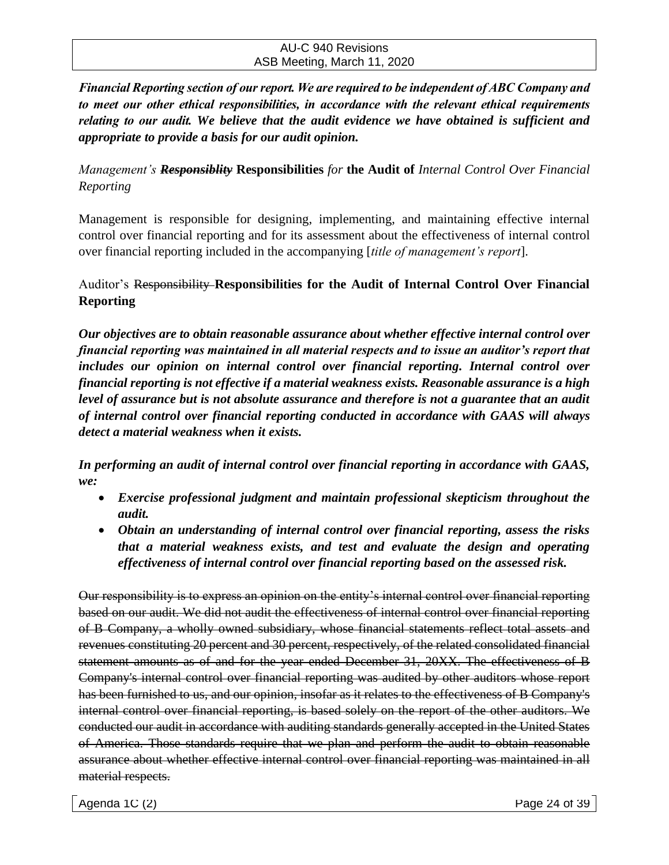*Financial Reporting section of our report. We are required to be independent of ABC Company and to meet our other ethical responsibilities, in accordance with the relevant ethical requirements relating to our audit. We believe that the audit evidence we have obtained is sufficient and appropriate to provide a basis for our audit opinion.*

### *Management's Responsiblity* **Responsibilities** *for* **the Audit of** *Internal Control Over Financial Reporting*

Management is responsible for designing, implementing, and maintaining effective internal control over financial reporting and for its assessment about the effectiveness of internal control over financial reporting included in the accompanying [*title of management's report*].

### Auditor's Responsibility **Responsibilities for the Audit of Internal Control Over Financial Reporting**

*Our objectives are to obtain reasonable assurance about whether effective internal control over financial reporting was maintained in all material respects and to issue an auditor's report that includes our opinion on internal control over financial reporting. Internal control over financial reporting is not effective if a material weakness exists. Reasonable assurance is a high level of assurance but is not absolute assurance and therefore is not a guarantee that an audit of internal control over financial reporting conducted in accordance with GAAS will always detect a material weakness when it exists.* 

*In performing an audit of internal control over financial reporting in accordance with GAAS, we:*

- *Exercise professional judgment and maintain professional skepticism throughout the audit.*
- *Obtain an understanding of internal control over financial reporting, assess the risks that a material weakness exists, and test and evaluate the design and operating effectiveness of internal control over financial reporting based on the assessed risk.*

Our responsibility is to express an opinion on the entity's internal control over financial reporting based on our audit. We did not audit the effectiveness of internal control over financial reporting of B Company, a wholly owned subsidiary, whose financial statements reflect total assets and revenues constituting 20 percent and 30 percent, respectively, of the related consolidated financial statement amounts as of and for the year ended December 31, 20XX. The effectiveness of B Company's internal control over financial reporting was audited by other auditors whose report has been furnished to us, and our opinion, insofar as it relates to the effectiveness of **B** Company's internal control over financial reporting, is based solely on the report of the other auditors. We conducted our audit in accordance with auditing standards generally accepted in the United States of America. Those standards require that we plan and perform the audit to obtain reasonable assurance about whether effective internal control over financial reporting was maintained in all material respects.

Agenda 1C (2) Page 24 of 39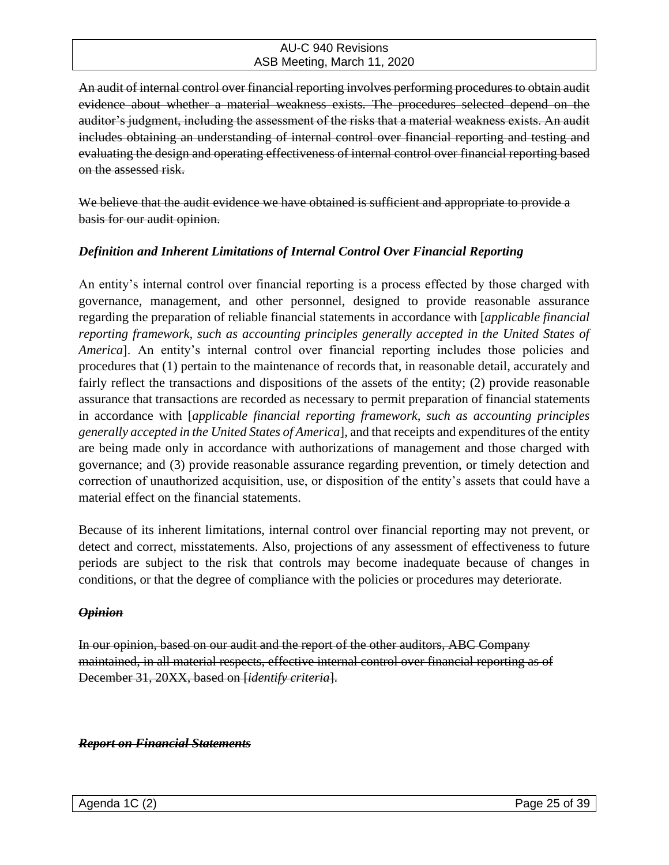An audit of internal control over financial reporting involves performing procedures to obtain audit evidence about whether a material weakness exists. The procedures selected depend on the auditor's judgment, including the assessment of the risks that a material weakness exists. An audit includes obtaining an understanding of internal control over financial reporting and testing and evaluating the design and operating effectiveness of internal control over financial reporting based on the assessed risk.

We believe that the audit evidence we have obtained is sufficient and appropriate to provide a basis for our audit opinion.

### *Definition and Inherent Limitations of Internal Control Over Financial Reporting*

An entity's internal control over financial reporting is a process effected by those charged with governance, management, and other personnel, designed to provide reasonable assurance regarding the preparation of reliable financial statements in accordance with [*applicable financial reporting framework, such as accounting principles generally accepted in the United States of America*]. An entity's internal control over financial reporting includes those policies and procedures that (1) pertain to the maintenance of records that, in reasonable detail, accurately and fairly reflect the transactions and dispositions of the assets of the entity; (2) provide reasonable assurance that transactions are recorded as necessary to permit preparation of financial statements in accordance with [*applicable financial reporting framework, such as accounting principles generally accepted in the United States of America*], and that receipts and expenditures of the entity are being made only in accordance with authorizations of management and those charged with governance; and (3) provide reasonable assurance regarding prevention, or timely detection and correction of unauthorized acquisition, use, or disposition of the entity's assets that could have a material effect on the financial statements.

Because of its inherent limitations, internal control over financial reporting may not prevent, or detect and correct, misstatements. Also, projections of any assessment of effectiveness to future periods are subject to the risk that controls may become inadequate because of changes in conditions, or that the degree of compliance with the policies or procedures may deteriorate.

#### *Opinion*

In our opinion, based on our audit and the report of the other auditors, ABC Company maintained, in all material respects, effective internal control over financial reporting as of December 31, 20XX, based on [*identify criteria*].

*Report on Financial Statements*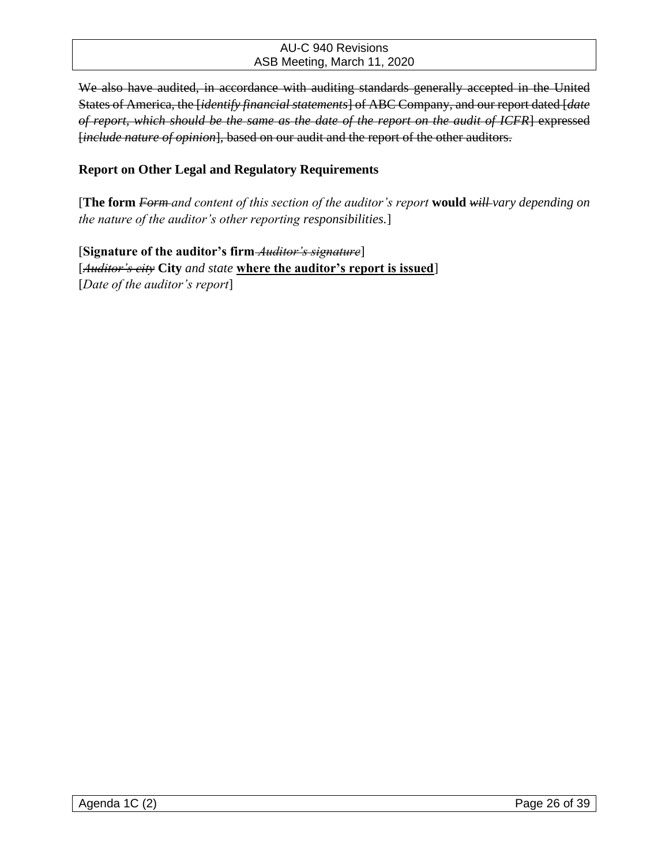We also have audited, in accordance with auditing standards generally accepted in the United States of America, the [*identify financial statements*] of ABC Company, and our report dated [*date of report, which should be the same as the date of the report on the audit of ICFR*] expressed [*include nature of opinion*], based on our audit and the report of the other auditors.

### **Report on Other Legal and Regulatory Requirements**

[**The form** *Form and content of this section of the auditor's report* **would** *will vary depending on the nature of the auditor's other reporting responsibilities.*]

[**Signature of the auditor's firm** *Auditor's signature*] [*Auditor's city* **City** *and state* **where the auditor's report is issued**] [*Date of the auditor's report*]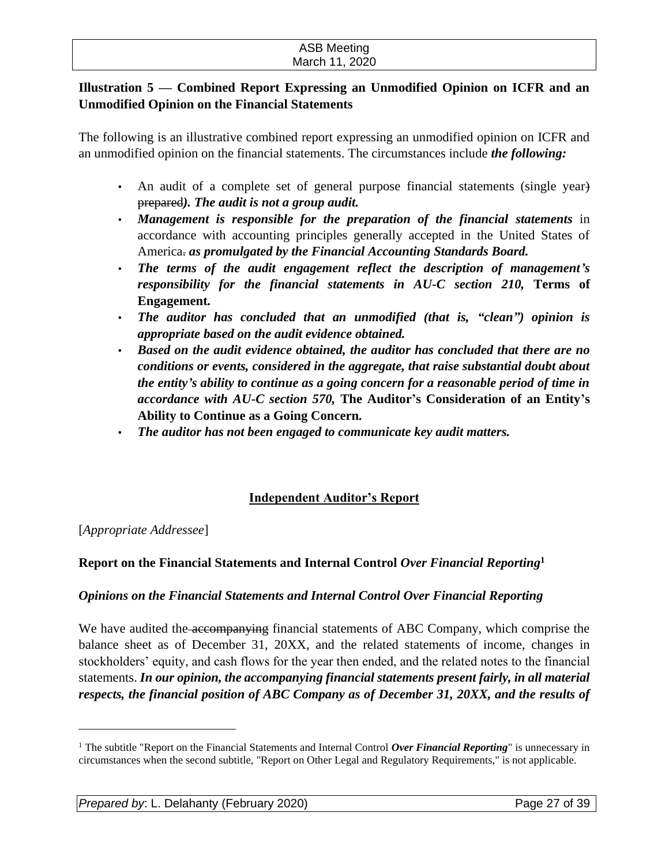| ASB Meeting    |  |
|----------------|--|
|                |  |
| March 11, 2020 |  |
|                |  |
|                |  |

### **Illustration 5 — Combined Report Expressing an Unmodified Opinion on ICFR and an Unmodified Opinion on the Financial Statements**

The following is an illustrative combined report expressing an unmodified opinion on ICFR and an unmodified opinion on the financial statements. The circumstances include *the following:*

- An audit of a complete set of general purpose financial statements (single year) prepared*). The audit is not a group audit.*
- *Management is responsible for the preparation of the financial statements* in accordance with accounting principles generally accepted in the United States of America. *as promulgated by the Financial Accounting Standards Board.*
- *The terms of the audit engagement reflect the description of management's responsibility for the financial statements in AU-C section 210, Terms of* **Engagement***.*
- *The auditor has concluded that an unmodified (that is, "clean") opinion is appropriate based on the audit evidence obtained.*
- *Based on the audit evidence obtained, the auditor has concluded that there are no conditions or events, considered in the aggregate, that raise substantial doubt about the entity's ability to continue as a going concern for a reasonable period of time in accordance with AU-C section 570,* **The Auditor's Consideration of an Entity's Ability to Continue as a Going Concern***.*
- *The auditor has not been engaged to communicate key audit matters.*

### **Independent Auditor's Report**

[*Appropriate Addressee*]

### **Report on the Financial Statements and Internal Control** *Over Financial Reporting***<sup>1</sup>**

### *Opinions on the Financial Statements and Internal Control Over Financial Reporting*

We have audited the accompanying financial statements of ABC Company, which comprise the balance sheet as of December 31, 20XX, and the related statements of income, changes in stockholders' equity, and cash flows for the year then ended, and the related notes to the financial statements. *In our opinion, the accompanying financial statements present fairly, in all material respects, the financial position of ABC Company as of December 31, 20XX, and the results of* 

<sup>1</sup> The subtitle "Report on the Financial Statements and Internal Control *Over Financial Reporting*" is unnecessary in circumstances when the second subtitle, "Report on Other Legal and Regulatory Requirements," is not applicable.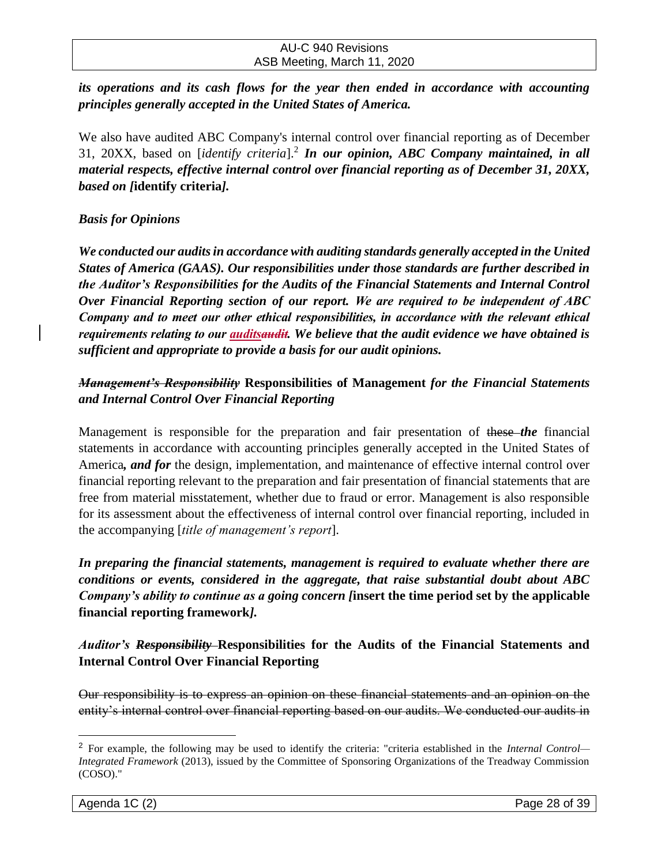*its operations and its cash flows for the year then ended in accordance with accounting principles generally accepted in the United States of America.*

We also have audited ABC Company's internal control over financial reporting as of December 31, 20XX, based on [*identify criteria*].<sup>2</sup> In our opinion, ABC Company maintained, in all *material respects, effective internal control over financial reporting as of December 31, 20XX, based on [***identify criteria***].*

### *Basis for Opinions*

*We conducted our audits in accordance with auditing standards generally accepted in the United States of America (GAAS). Our responsibilities under those standards are further described in the Auditor's Responsibilities for the Audits of the Financial Statements and Internal Control Over Financial Reporting section of our report. We are required to be independent of ABC Company and to meet our other ethical responsibilities, in accordance with the relevant ethical requirements relating to our auditsaudit. We believe that the audit evidence we have obtained is sufficient and appropriate to provide a basis for our audit opinions.*

### *Management's Responsibility* **Responsibilities of Management** *for the Financial Statements and Internal Control Over Financial Reporting*

Management is responsible for the preparation and fair presentation of these *the* financial statements in accordance with accounting principles generally accepted in the United States of America*, and for* the design, implementation, and maintenance of effective internal control over financial reporting relevant to the preparation and fair presentation of financial statements that are free from material misstatement, whether due to fraud or error. Management is also responsible for its assessment about the effectiveness of internal control over financial reporting, included in the accompanying [*title of management's report*].

*In preparing the financial statements, management is required to evaluate whether there are conditions or events, considered in the aggregate, that raise substantial doubt about ABC Company's ability to continue as a going concern [***insert the time period set by the applicable financial reporting framework***].*

### *Auditor's Responsibility* **Responsibilities for the Audits of the Financial Statements and Internal Control Over Financial Reporting**

Our responsibility is to express an opinion on these financial statements and an opinion on the entity's internal control over financial reporting based on our audits. We conducted our audits in

Agenda 1C (2) Page 28 of 39

<sup>2</sup> For example, the following may be used to identify the criteria: "criteria established in the *Internal Control— Integrated Framework* (2013), issued by the Committee of Sponsoring Organizations of the Treadway Commission (COSO)."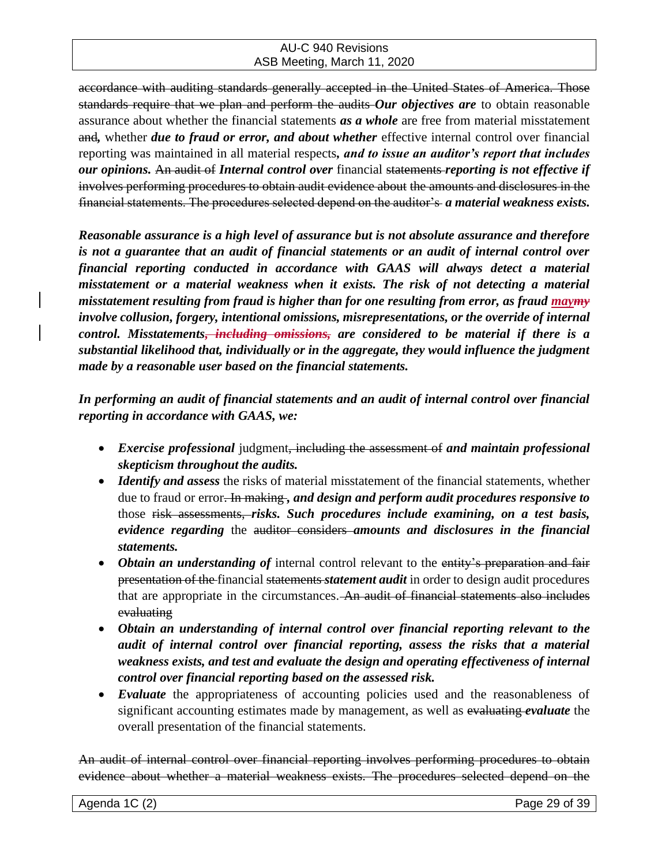accordance with auditing standards generally accepted in the United States of America. Those standards require that we plan and perform the audits *Our objectives are* to obtain reasonable assurance about whether the financial statements *as a whole* are free from material misstatement and*,* whether *due to fraud or error, and about whether* effective internal control over financial reporting was maintained in all material respects*, and to issue an auditor's report that includes our opinions.* An audit of *Internal control over* financial statements *reporting is not effective if*  involves performing procedures to obtain audit evidence about the amounts and disclosures in the financial statements. The procedures selected depend on the auditor's *a material weakness exists.* 

*Reasonable assurance is a high level of assurance but is not absolute assurance and therefore is not a guarantee that an audit of financial statements or an audit of internal control over financial reporting conducted in accordance with GAAS will always detect a material misstatement or a material weakness when it exists. The risk of not detecting a material misstatement resulting from fraud is higher than for one resulting from error, as fraud maymy involve collusion, forgery, intentional omissions, misrepresentations, or the override of internal control. Misstatements, including omissions, are considered to be material if there is a substantial likelihood that, individually or in the aggregate, they would influence the judgment made by a reasonable user based on the financial statements.*

*In performing an audit of financial statements and an audit of internal control over financial reporting in accordance with GAAS, we:*

- *Exercise professional* judgment, including the assessment of *and maintain professional skepticism throughout the audits.*
- *Identify and assess* the risks of material misstatement of the financial statements, whether due to fraud or error. In making, and design and perform audit procedures responsive to those risk assessments, *risks. Such procedures include examining, on a test basis, evidence regarding* the auditor considers *amounts and disclosures in the financial statements.*
- *Obtain an understanding of internal control relevant to the entity's preparation and fair* presentation of the financial statements *statement audit* in order to design audit procedures that are appropriate in the circumstances. An audit of financial statements also includes evaluating
- *Obtain an understanding of internal control over financial reporting relevant to the audit of internal control over financial reporting, assess the risks that a material weakness exists, and test and evaluate the design and operating effectiveness of internal control over financial reporting based on the assessed risk.*
- *Evaluate* the appropriateness of accounting policies used and the reasonableness of significant accounting estimates made by management, as well as evaluating *evaluate* the overall presentation of the financial statements.

An audit of internal control over financial reporting involves performing procedures to obtain evidence about whether a material weakness exists. The procedures selected depend on the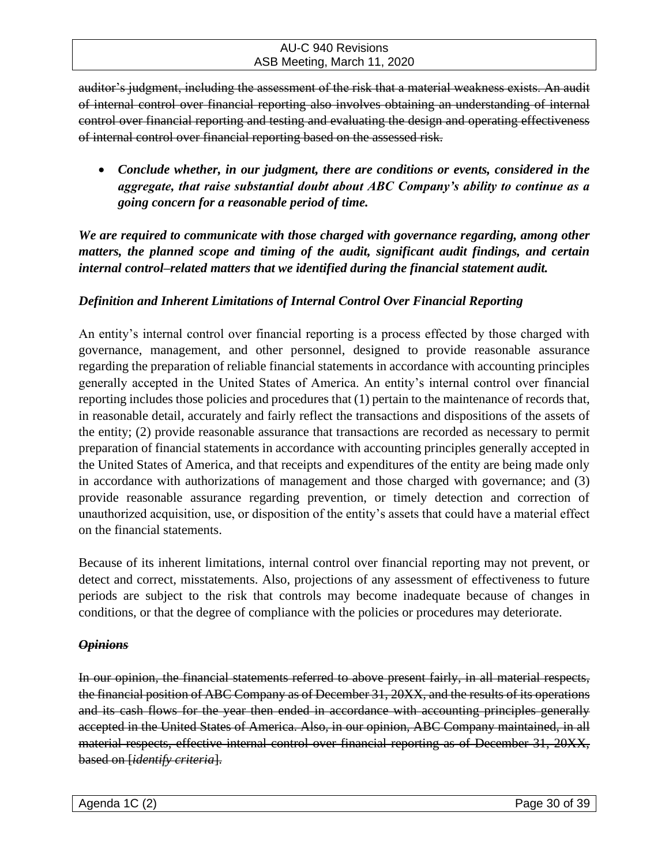auditor's judgment, including the assessment of the risk that a material weakness exists. An audit of internal control over financial reporting also involves obtaining an understanding of internal control over financial reporting and testing and evaluating the design and operating effectiveness of internal control over financial reporting based on the assessed risk.

• *Conclude whether, in our judgment, there are conditions or events, considered in the aggregate, that raise substantial doubt about ABC Company's ability to continue as a going concern for a reasonable period of time.*

*We are required to communicate with those charged with governance regarding, among other matters, the planned scope and timing of the audit, significant audit findings, and certain internal control–related matters that we identified during the financial statement audit.*

### *Definition and Inherent Limitations of Internal Control Over Financial Reporting*

An entity's internal control over financial reporting is a process effected by those charged with governance, management, and other personnel, designed to provide reasonable assurance regarding the preparation of reliable financial statements in accordance with accounting principles generally accepted in the United States of America. An entity's internal control over financial reporting includes those policies and procedures that (1) pertain to the maintenance of records that, in reasonable detail, accurately and fairly reflect the transactions and dispositions of the assets of the entity; (2) provide reasonable assurance that transactions are recorded as necessary to permit preparation of financial statements in accordance with accounting principles generally accepted in the United States of America, and that receipts and expenditures of the entity are being made only in accordance with authorizations of management and those charged with governance; and (3) provide reasonable assurance regarding prevention, or timely detection and correction of unauthorized acquisition, use, or disposition of the entity's assets that could have a material effect on the financial statements.

Because of its inherent limitations, internal control over financial reporting may not prevent, or detect and correct, misstatements. Also, projections of any assessment of effectiveness to future periods are subject to the risk that controls may become inadequate because of changes in conditions, or that the degree of compliance with the policies or procedures may deteriorate.

### *Opinions*

In our opinion, the financial statements referred to above present fairly, in all material respects, the financial position of ABC Company as of December 31, 20XX, and the results of its operations and its cash flows for the year then ended in accordance with accounting principles generally accepted in the United States of America. Also, in our opinion, ABC Company maintained, in all material respects, effective internal control over financial reporting as of December 31, 20XX, based on [*identify criteria*].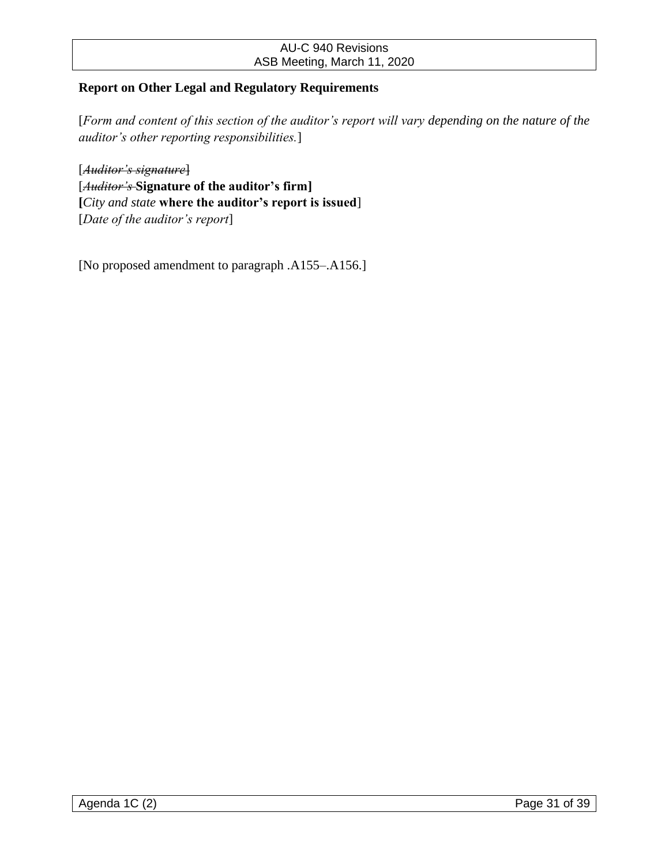### **Report on Other Legal and Regulatory Requirements**

[*Form and content of this section of the auditor's report will vary depending on the nature of the auditor's other reporting responsibilities.*]

[*Auditor's signature*] [*Auditor's* **Signature of the auditor's firm] [***City and state* **where the auditor's report is issued**] [*Date of the auditor's report*]

[No proposed amendment to paragraph .A155–.A156.]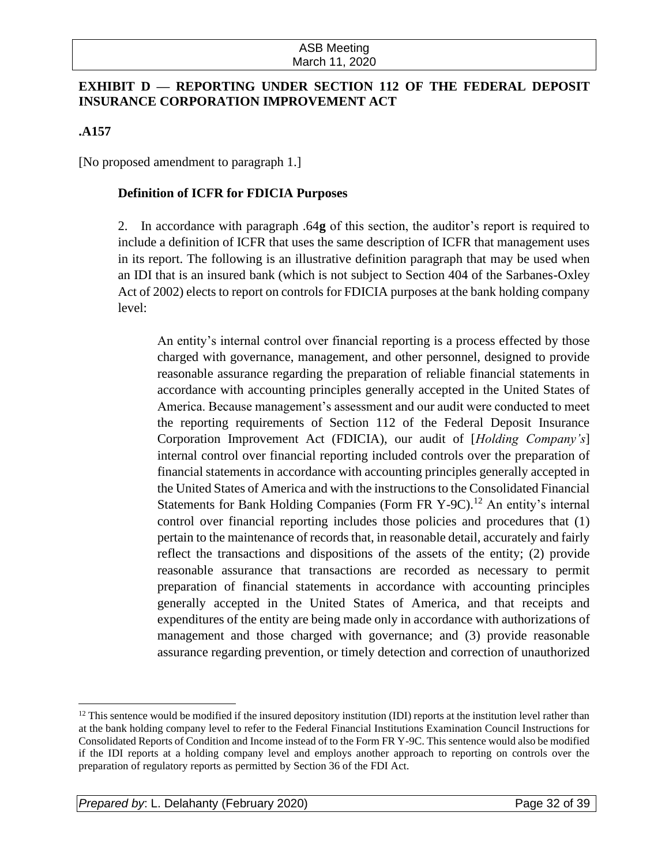#### ASB Meeting March 11, 2020

### **EXHIBIT D — REPORTING UNDER SECTION 112 OF THE FEDERAL DEPOSIT INSURANCE CORPORATION IMPROVEMENT ACT**

### **.A157**

[No proposed amendment to paragraph 1.]

### **Definition of ICFR for FDICIA Purposes**

2. In accordance with paragraph .64**g** of this section, the auditor's report is required to include a definition of ICFR that uses the same description of ICFR that management uses in its report. The following is an illustrative definition paragraph that may be used when an IDI that is an insured bank (which is not subject to Section 404 of the Sarbanes-Oxley Act of 2002) elects to report on controls for FDICIA purposes at the bank holding company level:

An entity's internal control over financial reporting is a process effected by those charged with governance, management, and other personnel, designed to provide reasonable assurance regarding the preparation of reliable financial statements in accordance with accounting principles generally accepted in the United States of America. Because management's assessment and our audit were conducted to meet the reporting requirements of Section 112 of the Federal Deposit Insurance Corporation Improvement Act (FDICIA), our audit of [*Holding Company's*] internal control over financial reporting included controls over the preparation of financial statements in accordance with accounting principles generally accepted in the United States of America and with the instructions to the Consolidated Financial Statements for Bank Holding Companies (Form FR Y-9C).<sup>12</sup> An entity's internal control over financial reporting includes those policies and procedures that (1) pertain to the maintenance of records that, in reasonable detail, accurately and fairly reflect the transactions and dispositions of the assets of the entity; (2) provide reasonable assurance that transactions are recorded as necessary to permit preparation of financial statements in accordance with accounting principles generally accepted in the United States of America, and that receipts and expenditures of the entity are being made only in accordance with authorizations of management and those charged with governance; and (3) provide reasonable assurance regarding prevention, or timely detection and correction of unauthorized

 $12$  This sentence would be modified if the insured depository institution (IDI) reports at the institution level rather than at the bank holding company level to refer to the Federal Financial Institutions Examination Council Instructions for Consolidated Reports of Condition and Income instead of to the Form FR Y-9C. This sentence would also be modified if the IDI reports at a holding company level and employs another approach to reporting on controls over the preparation of regulatory reports as permitted by Section 36 of the FDI Act.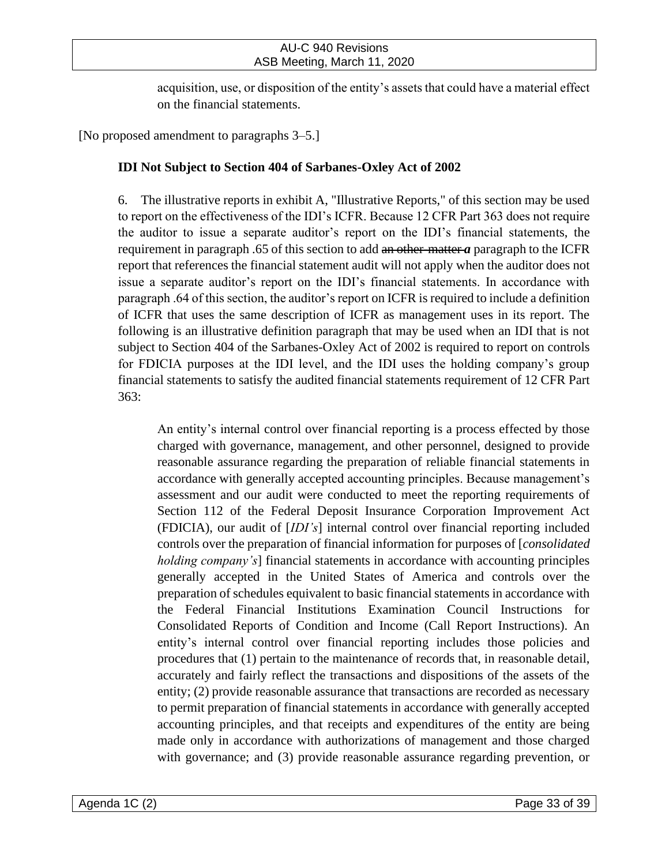acquisition, use, or disposition of the entity's assets that could have a material effect on the financial statements.

[No proposed amendment to paragraphs 3–5.]

### **IDI Not Subject to Section 404 of Sarbanes-Oxley Act of 2002**

6. The illustrative reports in exhibit A, "Illustrative Reports," of this section may be used to report on the effectiveness of the IDI's ICFR. Because 12 CFR Part 363 does not require the auditor to issue a separate auditor's report on the IDI's financial statements, the requirement in paragraph .65 of this section to add an other-matter *a* paragraph to the ICFR report that references the financial statement audit will not apply when the auditor does not issue a separate auditor's report on the IDI's financial statements. In accordance with paragraph .64 of this section, the auditor's report on ICFR is required to include a definition of ICFR that uses the same description of ICFR as management uses in its report. The following is an illustrative definition paragraph that may be used when an IDI that is not subject to Section 404 of the Sarbanes-Oxley Act of 2002 is required to report on controls for FDICIA purposes at the IDI level, and the IDI uses the holding company's group financial statements to satisfy the audited financial statements requirement of 12 CFR Part 363:

An entity's internal control over financial reporting is a process effected by those charged with governance, management, and other personnel, designed to provide reasonable assurance regarding the preparation of reliable financial statements in accordance with generally accepted accounting principles. Because management's assessment and our audit were conducted to meet the reporting requirements of Section 112 of the Federal Deposit Insurance Corporation Improvement Act (FDICIA), our audit of [*IDI's*] internal control over financial reporting included controls over the preparation of financial information for purposes of [*consolidated holding company's*] financial statements in accordance with accounting principles generally accepted in the United States of America and controls over the preparation of schedules equivalent to basic financial statements in accordance with the Federal Financial Institutions Examination Council Instructions for Consolidated Reports of Condition and Income (Call Report Instructions). An entity's internal control over financial reporting includes those policies and procedures that (1) pertain to the maintenance of records that, in reasonable detail, accurately and fairly reflect the transactions and dispositions of the assets of the entity; (2) provide reasonable assurance that transactions are recorded as necessary to permit preparation of financial statements in accordance with generally accepted accounting principles, and that receipts and expenditures of the entity are being made only in accordance with authorizations of management and those charged with governance; and (3) provide reasonable assurance regarding prevention, or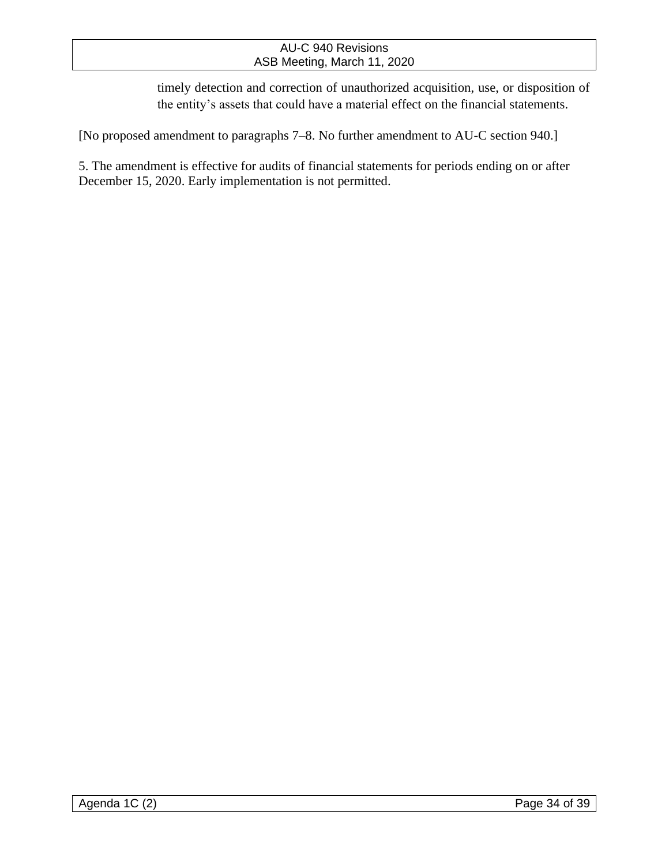timely detection and correction of unauthorized acquisition, use, or disposition of the entity's assets that could have a material effect on the financial statements.

[No proposed amendment to paragraphs 7–8. No further amendment to AU-C section 940.]

5. The amendment is effective for audits of financial statements for periods ending on or after December 15, 2020. Early implementation is not permitted.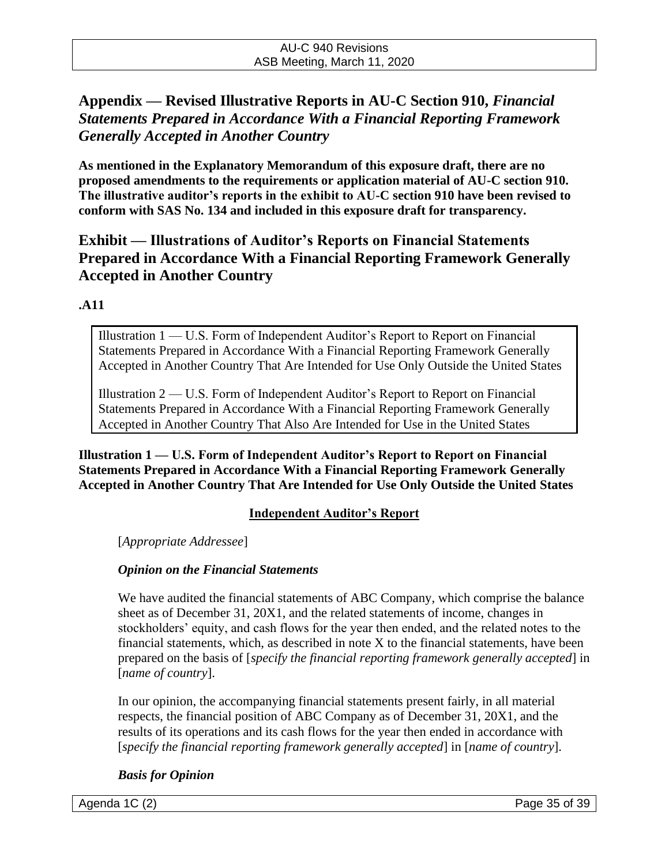# **Appendix — Revised Illustrative Reports in AU-C Section 910,** *Financial Statements Prepared in Accordance With a Financial Reporting Framework Generally Accepted in Another Country*

**As mentioned in the Explanatory Memorandum of this exposure draft, there are no proposed amendments to the requirements or application material of AU-C section 910. The illustrative auditor's reports in the exhibit to AU-C section 910 have been revised to conform with SAS No. 134 and included in this exposure draft for transparency.**

# **Exhibit — Illustrations of Auditor's Reports on Financial Statements Prepared in Accordance With a Financial Reporting Framework Generally Accepted in Another Country**

**.A11**

[Illustration 1](#page-34-0) — U.S. Form of Independent Auditor's Report to Report on Financial Statements Prepared in Accordance With a Financial Reporting Framework Generally Accepted in Another Country That Are Intended for Use Only Outside the United States

[Illustration 2](#page-36-0) — U.S. Form of Independent Auditor's Report to Report on Financial Statements Prepared in Accordance With a Financial Reporting Framework Generally Accepted in Another Country That Also Are Intended for Use in the United States

<span id="page-34-0"></span>**Illustration 1 — U.S. Form of Independent Auditor's Report to Report on Financial Statements Prepared in Accordance With a Financial Reporting Framework Generally Accepted in Another Country That Are Intended for Use Only Outside the United States**

### **Independent Auditor's Report**

[*Appropriate Addressee*]

### *Opinion on the Financial Statements*

We have audited the financial statements of ABC Company, which comprise the balance sheet as of December 31, 20X1, and the related statements of income, changes in stockholders' equity, and cash flows for the year then ended, and the related notes to the financial statements, which, as described in note  $X$  to the financial statements, have been prepared on the basis of [*specify the financial reporting framework generally accepted*] in [*name of country*].

In our opinion, the accompanying financial statements present fairly, in all material respects, the financial position of ABC Company as of December 31, 20X1, and the results of its operations and its cash flows for the year then ended in accordance with [*specify the financial reporting framework generally accepted*] in [*name of country*].

*Basis for Opinion* 

Agenda 1C (2) Page 35 of 39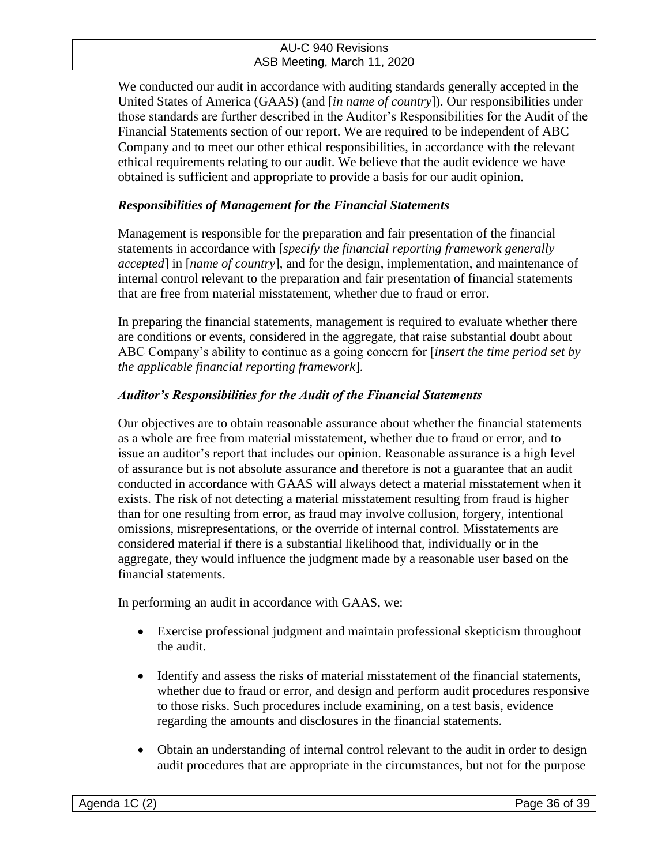We conducted our audit in accordance with auditing standards generally accepted in the United States of America (GAAS) (and [*in name of country*]). Our responsibilities under those standards are further described in the Auditor's Responsibilities for the Audit of the Financial Statements section of our report. We are required to be independent of ABC Company and to meet our other ethical responsibilities, in accordance with the relevant ethical requirements relating to our audit. We believe that the audit evidence we have obtained is sufficient and appropriate to provide a basis for our audit opinion.

### *Responsibilities of Management for the Financial Statements*

Management is responsible for the preparation and fair presentation of the financial statements in accordance with [*specify the financial reporting framework generally accepted*] in [*name of country*], and for the design, implementation, and maintenance of internal control relevant to the preparation and fair presentation of financial statements that are free from material misstatement, whether due to fraud or error.

In preparing the financial statements, management is required to evaluate whether there are conditions or events, considered in the aggregate, that raise substantial doubt about ABC Company's ability to continue as a going concern for [*insert the time period set by the applicable financial reporting framework*].

### *Auditor's Responsibilities for the Audit of the Financial Statements*

Our objectives are to obtain reasonable assurance about whether the financial statements as a whole are free from material misstatement, whether due to fraud or error, and to issue an auditor's report that includes our opinion. Reasonable assurance is a high level of assurance but is not absolute assurance and therefore is not a guarantee that an audit conducted in accordance with GAAS will always detect a material misstatement when it exists. The risk of not detecting a material misstatement resulting from fraud is higher than for one resulting from error, as fraud may involve collusion, forgery, intentional omissions, misrepresentations, or the override of internal control. Misstatements are considered material if there is a substantial likelihood that, individually or in the aggregate, they would influence the judgment made by a reasonable user based on the financial statements.

In performing an audit in accordance with GAAS, we:

- Exercise professional judgment and maintain professional skepticism throughout the audit.
- Identify and assess the risks of material misstatement of the financial statements, whether due to fraud or error, and design and perform audit procedures responsive to those risks. Such procedures include examining, on a test basis, evidence regarding the amounts and disclosures in the financial statements.
- Obtain an understanding of internal control relevant to the audit in order to design audit procedures that are appropriate in the circumstances, but not for the purpose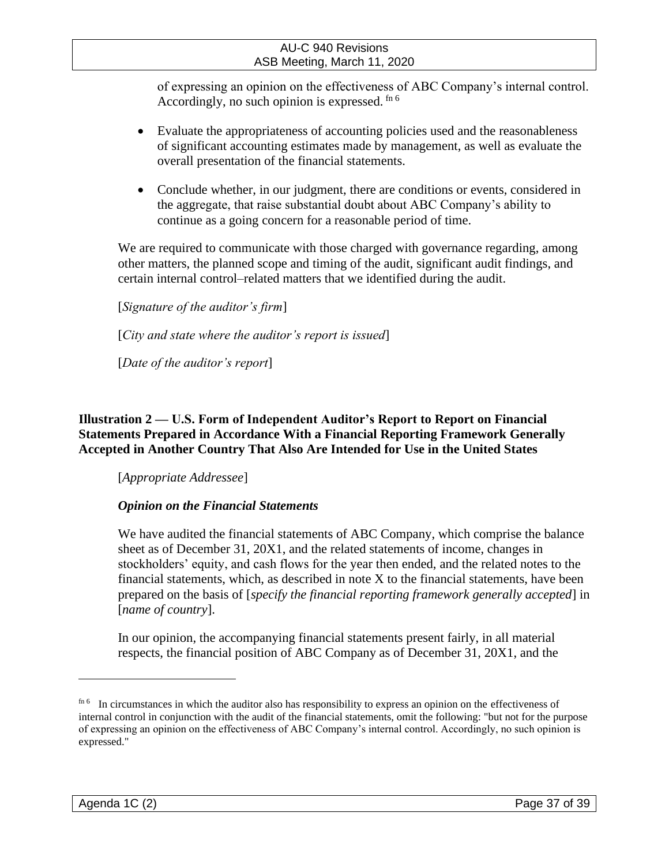of expressing an opinion on the effectiveness of ABC Company's internal control. Accordingly, no such opinion is expressed.  $\frac{\ln 6}{\ln 6}$ 

- Evaluate the appropriateness of accounting policies used and the reasonableness of significant accounting estimates made by management, as well as evaluate the overall presentation of the financial statements.
- Conclude whether, in our judgment, there are conditions or events, considered in the aggregate, that raise substantial doubt about ABC Company's ability to continue as a going concern for a reasonable period of time.

We are required to communicate with those charged with governance regarding, among other matters, the planned scope and timing of the audit, significant audit findings, and certain internal control–related matters that we identified during the audit.

[*Signature of the auditor's firm*]

[*City and state where the auditor's report is issued*]

[*Date of the auditor's report*]

### <span id="page-36-0"></span>**Illustration 2 — U.S. Form of Independent Auditor's Report to Report on Financial Statements Prepared in Accordance With a Financial Reporting Framework Generally Accepted in Another Country That Also Are Intended for Use in the United States**

[*Appropriate Addressee*]

### *Opinion on the Financial Statements*

We have audited the financial statements of ABC Company, which comprise the balance sheet as of December 31, 20X1, and the related statements of income, changes in stockholders' equity, and cash flows for the year then ended, and the related notes to the financial statements, which, as described in note X to the financial statements, have been prepared on the basis of [*specify the financial reporting framework generally accepted*] in [*name of country*].

In our opinion, the accompanying financial statements present fairly, in all material respects, the financial position of ABC Company as of December 31, 20X1, and the

 $<sup>fn 6</sup>$  In circumstances in which the auditor also has responsibility to express an opinion on the effectiveness of</sup> internal control in conjunction with the audit of the financial statements, omit the following: "but not for the purpose of expressing an opinion on the effectiveness of ABC Company's internal control. Accordingly, no such opinion is expressed."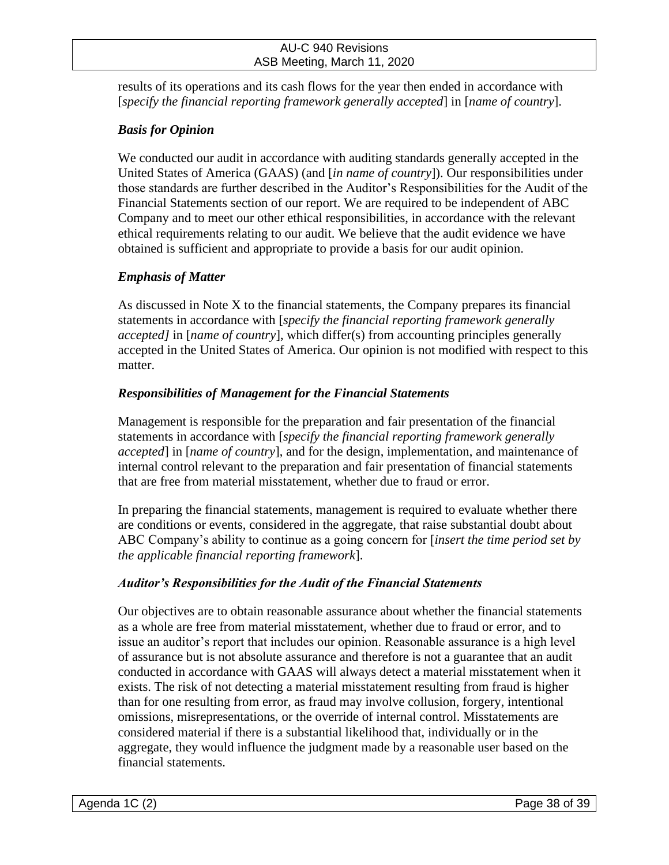results of its operations and its cash flows for the year then ended in accordance with [*specify the financial reporting framework generally accepted*] in [*name of country*].

### *Basis for Opinion*

We conducted our audit in accordance with auditing standards generally accepted in the United States of America (GAAS) (and [*in name of country*]). Our responsibilities under those standards are further described in the Auditor's Responsibilities for the Audit of the Financial Statements section of our report. We are required to be independent of ABC Company and to meet our other ethical responsibilities, in accordance with the relevant ethical requirements relating to our audit. We believe that the audit evidence we have obtained is sufficient and appropriate to provide a basis for our audit opinion.

### *Emphasis of Matter*

As discussed in Note X to the financial statements, the Company prepares its financial statements in accordance with [*specify the financial reporting framework generally accepted]* in [*name of country*], which differ(s) from accounting principles generally accepted in the United States of America. Our opinion is not modified with respect to this matter.

### *Responsibilities of Management for the Financial Statements*

Management is responsible for the preparation and fair presentation of the financial statements in accordance with [*specify the financial reporting framework generally accepted*] in [*name of country*], and for the design, implementation, and maintenance of internal control relevant to the preparation and fair presentation of financial statements that are free from material misstatement, whether due to fraud or error.

In preparing the financial statements, management is required to evaluate whether there are conditions or events, considered in the aggregate, that raise substantial doubt about ABC Company's ability to continue as a going concern for [*insert the time period set by the applicable financial reporting framework*].

### *Auditor's Responsibilities for the Audit of the Financial Statements*

Our objectives are to obtain reasonable assurance about whether the financial statements as a whole are free from material misstatement, whether due to fraud or error, and to issue an auditor's report that includes our opinion. Reasonable assurance is a high level of assurance but is not absolute assurance and therefore is not a guarantee that an audit conducted in accordance with GAAS will always detect a material misstatement when it exists. The risk of not detecting a material misstatement resulting from fraud is higher than for one resulting from error, as fraud may involve collusion, forgery, intentional omissions, misrepresentations, or the override of internal control. Misstatements are considered material if there is a substantial likelihood that, individually or in the aggregate, they would influence the judgment made by a reasonable user based on the financial statements.